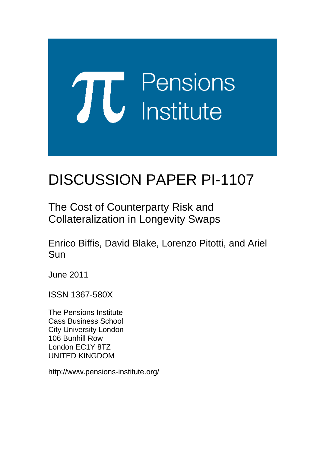# **TU** Pensions<br> **U** Institute

# DISCUSSION PAPER PI-1107

The Cost of Counterparty Risk and Collateralization in Longevity Swaps

Enrico Biffis, David Blake, Lorenzo Pitotti, and Ariel Sun

June 2011

ISSN 1367-580X

The Pensions Institute Cass Business School City University London 106 Bunhill Row London EC1Y 8TZ UNITED KINGDOM

http://www.pensions-institute.org/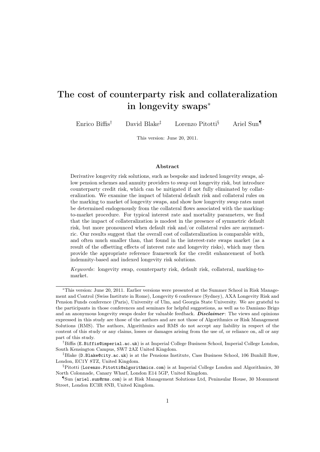## The cost of counterparty risk and collateralization in longevity swaps<sup>∗</sup>

Enrico Biffis† David Blake‡ Lorenzo Pitotti§ Ariel Sun¶

This version: June 20, 2011.

### Abstract

Derivative longevity risk solutions, such as bespoke and indexed longevity swaps, allow pension schemes and annuity providers to swap out longevity risk, but introduce counterparty credit risk, which can be mitigated if not fully eliminated by collateralization. We examine the impact of bilateral default risk and collateral rules on the marking to market of longevity swaps, and show how longevity swap rates must be determined endogenously from the collateral flows associated with the markingto-market procedure. For typical interest rate and mortality parameters, we find that the impact of collateralization is modest in the presence of symmetric default risk, but more pronounced when default risk and/or collateral rules are asymmetric. Our results suggest that the overall cost of collateralization is comparable with, and often much smaller than, that found in the interest-rate swaps market (as a result of the offsetting effects of interest rate and longevity risks), which may then provide the appropriate reference framework for the credit enhancement of both indemnity-based and indexed longevity risk solutions.

Keywords: longevity swap, counterparty risk, default risk, collateral, marking-tomarket.

<sup>∗</sup>This version: June 20, 2011. Earlier versions were presented at the Summer School in Risk Management and Control (Swiss Institute in Rome), Longevity 6 conference (Sydney), AXA Longevity Risk and Pension Funds conference (Paris), University of Ulm, and Georgia State University. We are grateful to the participants in those conferences and seminars for helpful suggestions, as well as to Damiano Brigo and an anonymous longevity swaps dealer for valuable feedback. **Disclaimer**: The views and opinions expressed in this study are those of the authors and are not those of Algorithmics or Risk Management Solutions (RMS). The authors, Algorithmics and RMS do not accept any liability in respect of the content of this study or any claims, losses or damages arising from the use of, or reliance on, all or any part of this study.

<sup>&</sup>lt;sup>†</sup>Biffis (E.Biffis@imperial.ac.uk) is at Imperial College Business School, Imperial College London, South Kensington Campus, SW7 2AZ United Kingdom.

<sup>‡</sup>Blake (D.Blake@city.ac.uk) is at the Pensions Institute, Cass Business School, 106 Bunhill Row, London, EC1Y 8TZ, United Kingdom.

 $\S$ Pitotti (Lorenzo.Pitotti@algorithmics.com) is at Imperial College London and Algorithmics, 30 North Colonnade, Canary Wharf, London E14 5GP, United Kingdom.

<sup>¶</sup>Sun (ariel.sun@rms.com) is at Risk Management Solutions Ltd, Peninsular House, 30 Monument Street, London EC3R 8NB, United Kingdom.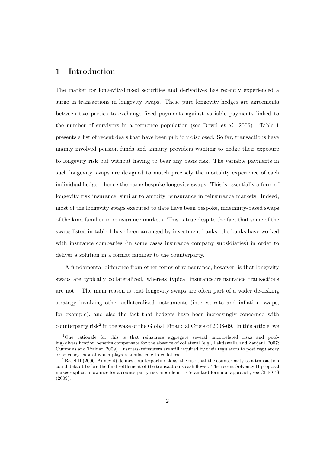### 1 Introduction

The market for longevity-linked securities and derivatives has recently experienced a surge in transactions in longevity swaps. These pure longevity hedges are agreements between two parties to exchange fixed payments against variable payments linked to the number of survivors in a reference population (see Dowd *et al.*, 2006). Table 1 presents a list of recent deals that have been publicly disclosed. So far, transactions have mainly involved pension funds and annuity providers wanting to hedge their exposure to longevity risk but without having to bear any basis risk. The variable payments in such longevity swaps are designed to match precisely the mortality experience of each individual hedger: hence the name bespoke longevity swaps. This is essentially a form of longevity risk insurance, similar to annuity reinsurance in reinsurance markets. Indeed, most of the longevity swaps executed to date have been bespoke, indemnity-based swaps of the kind familiar in reinsurance markets. This is true despite the fact that some of the swaps listed in table 1 have been arranged by investment banks: the banks have worked with insurance companies (in some cases insurance company subsidiaries) in order to deliver a solution in a format familiar to the counterparty.

A fundamental difference from other forms of reinsurance, however, is that longevity swaps are typically collateralized, whereas typical insurance/reinsurance transactions are not.<sup>1</sup> The main reason is that longevity swaps are often part of a wider de-risking strategy involving other collateralized instruments (interest-rate and inflation swaps, for example), and also the fact that hedgers have been increasingly concerned with counterparty risk<sup>2</sup> in the wake of the Global Financial Crisis of 2008-09. In this article, we

<sup>&</sup>lt;sup>1</sup>One rationale for this is that reinsurers aggregate several uncorrelated risks and pooling/diversification benefits compensate for the absence of collateral (e.g., Lakdawalla and Zanjani, 2007; Cummins and Trainar, 2009). Insurers/reinsurers are still required by their regulators to post regulatory or solvency capital which plays a similar role to collateral.

<sup>2</sup>Basel II (2006, Annex 4) defines counterparty risk as 'the risk that the counterparty to a transaction could default before the final settlement of the transaction's cash flows'. The recent Solvency II proposal makes explicit allowance for a counterparty risk module in its 'standard formula' approach; see CEIOPS (2009).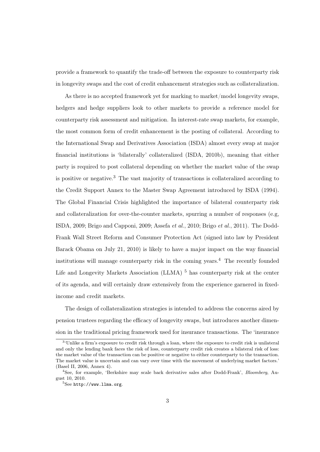provide a framework to quantify the trade-off between the exposure to counterparty risk in longevity swaps and the cost of credit enhancement strategies such as collateralization.

As there is no accepted framework yet for marking to market/model longevity swaps, hedgers and hedge suppliers look to other markets to provide a reference model for counterparty risk assessment and mitigation. In interest-rate swap markets, for example, the most common form of credit enhancement is the posting of collateral. According to the International Swap and Derivatives Association (ISDA) almost every swap at major financial institutions is 'bilaterally' collateralized (ISDA, 2010b), meaning that either party is required to post collateral depending on whether the market value of the swap is positive or negative.<sup>3</sup> The vast majority of transactions is collateralized according to the Credit Support Annex to the Master Swap Agreement introduced by ISDA (1994). The Global Financial Crisis highlighted the importance of bilateral counterparty risk and collateralization for over-the-counter markets, spurring a number of responses (e.g, ISDA, 2009; Brigo and Capponi, 2009; Assefa *et al.*, 2010; Brigo *et al.*, 2011). The Dodd-Frank Wall Street Reform and Consumer Protection Act (signed into law by President Barack Obama on July 21, 2010) is likely to have a major impact on the way financial institutions will manage counterparty risk in the coming years.<sup>4</sup> The recently founded Life and Longevity Markets Association (LLMA)  $<sup>5</sup>$  has counterparty risk at the center</sup> of its agenda, and will certainly draw extensively from the experience garnered in fixedincome and credit markets.

The design of collateralization strategies is intended to address the concerns aired by pension trustees regarding the efficacy of longevity swaps, but introduces another dimension in the traditional pricing framework used for insurance transactions. The 'insurance

<sup>&</sup>lt;sup>3</sup>'Unlike a firm's exposure to credit risk through a loan, where the exposure to credit risk is unilateral and only the lending bank faces the risk of loss, counterparty credit risk creates a bilateral risk of loss: the market value of the transaction can be positive or negative to either counterparty to the transaction. The market value is uncertain and can vary over time with the movement of underlying market factors.' (Basel II, 2006, Annex 4).

<sup>4</sup>See, for example, 'Berkshire may scale back derivative sales after Dodd-Frank', Bloomberg, August 10, 2010.

 ${}^{5}$ See http://www.llma.org.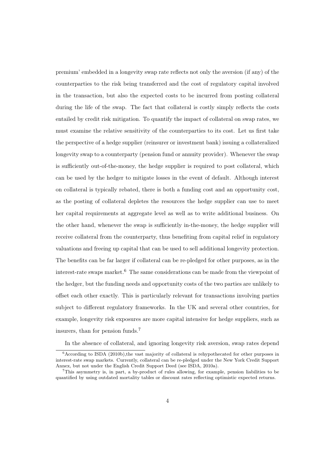premium' embedded in a longevity swap rate reflects not only the aversion (if any) of the counterparties to the risk being transferred and the cost of regulatory capital involved in the transaction, but also the expected costs to be incurred from posting collateral during the life of the swap. The fact that collateral is costly simply reflects the costs entailed by credit risk mitigation. To quantify the impact of collateral on swap rates, we must examine the relative sensitivity of the counterparties to its cost. Let us first take the perspective of a hedge supplier (reinsurer or investment bank) issuing a collateralized longevity swap to a counterparty (pension fund or annuity provider). Whenever the swap is sufficiently out-of-the-money, the hedge supplier is required to post collateral, which can be used by the hedger to mitigate losses in the event of default. Although interest on collateral is typically rebated, there is both a funding cost and an opportunity cost, as the posting of collateral depletes the resources the hedge supplier can use to meet her capital requirements at aggregate level as well as to write additional business. On the other hand, whenever the swap is sufficiently in-the-money, the hedge supplier will receive collateral from the counterparty, thus benefiting from capital relief in regulatory valuations and freeing up capital that can be used to sell additional longevity protection. The benefits can be far larger if collateral can be re-pledged for other purposes, as in the interest-rate swaps market.<sup>6</sup> The same considerations can be made from the viewpoint of the hedger, but the funding needs and opportunity costs of the two parties are unlikely to offset each other exactly. This is particularly relevant for transactions involving parties subject to different regulatory frameworks. In the UK and several other countries, for example, longevity risk exposures are more capital intensive for hedge suppliers, such as insurers, than for pension funds.<sup>7</sup>

In the absence of collateral, and ignoring longevity risk aversion, swap rates depend

 $6$ According to ISDA (2010b), the vast majority of collateral is rehypothecated for other purposes in interest-rate swap markets. Currently, collateral can be re-pledged under the New York Credit Support Annex, but not under the English Credit Support Deed (see ISDA, 2010a).

<sup>7</sup>This asymmetry is, in part, a by-product of rules allowing, for example, pension liabilities to be quantified by using outdated mortality tables or discount rates reflecting optimistic expected returns.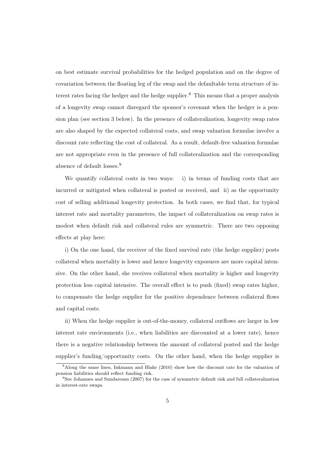on best estimate survival probabilities for the hedged population and on the degree of covariation between the floating leg of the swap and the defaultable term structure of interest rates facing the hedger and the hedge supplier.<sup>8</sup> This means that a proper analysis of a longevity swap cannot disregard the sponsor's covenant when the hedger is a pension plan (see section 3 below). In the presence of collateralization, longevity swap rates are also shaped by the expected collateral costs, and swap valuation formulae involve a discount rate reflecting the cost of collateral. As a result, default-free valuation formulae are not appropriate even in the presence of full collateralization and the corresponding absence of default losses.<sup>9</sup>

We quantify collateral costs in two ways: i) in terms of funding costs that are incurred or mitigated when collateral is posted or received, and ii) as the opportunity cost of selling additional longevity protection. In both cases, we find that, for typical interest rate and mortality parameters, the impact of collateralization on swap rates is modest when default risk and collateral rules are symmetric. There are two opposing effects at play here:

i) On the one hand, the receiver of the fixed survival rate (the hedge supplier) posts collateral when mortality is lower and hence longevity exposures are more capital intensive. On the other hand, she receives collateral when mortality is higher and longevity protection less capital intensive. The overall effect is to push (fixed) swap rates higher, to compensate the hedge supplier for the positive dependence between collateral flows and capital costs.

ii) When the hedge supplier is out-of-the-money, collateral outflows are larger in low interest rate environments (i.e., when liabilities are discounted at a lower rate), hence there is a negative relationship between the amount of collateral posted and the hedge supplier's funding/opportunity costs. On the other hand, when the hedge supplier is

<sup>8</sup>Along the same lines, Inkmann and Blake (2010) show how the discount rate for the valuation of pension liabilities should reflect funding risk.

<sup>9</sup>See Johannes and Sundaresan (2007) for the case of symmetric default risk and full collateralization in interest-rate swaps.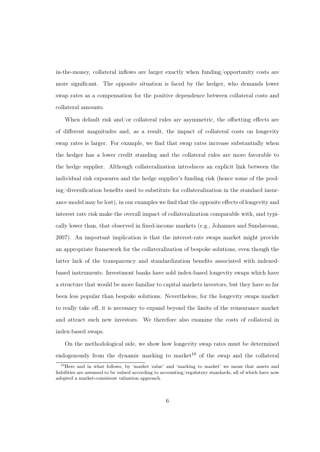in-the-money, collateral inflows are larger exactly when funding/opportunity costs are more significant. The opposite situation is faced by the hedger, who demands lower swap rates as a compensation for the positive dependence between collateral costs and collateral amounts.

When default risk and/or collateral rules are asymmetric, the offsetting effects are of different magnitudes and, as a result, the impact of collateral costs on longevity swap rates is larger. For example, we find that swap rates increase substantially when the hedger has a lower credit standing and the collateral rules are more favorable to the hedge supplier. Although collateralization introduces an explicit link between the individual risk exposures and the hedge supplier's funding risk (hence some of the pooling/diversification benefits used to substitute for collateralization in the standard insurance model may be lost), in our examples we find that the opposite effects of longevity and interest rate risk make the overall impact of collateralization comparable with, and typically lower than, that observed in fixed-income markets (e.g., Johannes and Sundaresan, 2007). An important implication is that the interest-rate swaps market might provide an appropriate framework for the collateralization of bespoke solutions, even though the latter lack of the transparency and standardization benefits associated with indexedbased instruments. Investment banks have sold index-based longevity swaps which have a structure that would be more familiar to capital markets investors, but they have so far been less popular than bespoke solutions. Nevertheless, for the longevity swaps market to really take off, it is necessary to expand beyond the limits of the reinsurance market and attract such new investors. We therefore also examine the costs of collateral in index-based swaps.

On the methodological side, we show how longevity swap rates must be determined endogenously from the dynamic marking to market<sup>10</sup> of the swap and the collateral

 $10$ Here and in what follows, by 'market value' and 'marking to market' we mean that assets and liabilities are assumed to be valued according to accounting/regulatory standards, all of which have now adopted a market-consistent valuation approach.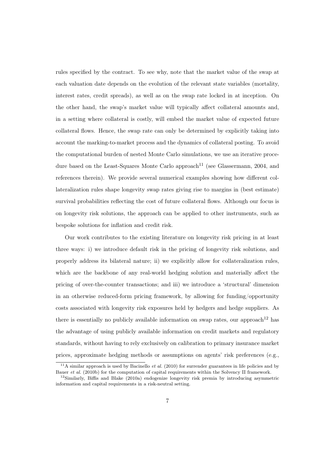rules specified by the contract. To see why, note that the market value of the swap at each valuation date depends on the evolution of the relevant state variables (mortality, interest rates, credit spreads), as well as on the swap rate locked in at inception. On the other hand, the swap's market value will typically affect collateral amounts and, in a setting where collateral is costly, will embed the market value of expected future collateral flows. Hence, the swap rate can only be determined by explicitly taking into account the marking-to-market process and the dynamics of collateral posting. To avoid the computational burden of nested Monte Carlo simulations, we use an iterative procedure based on the Least-Squares Monte Carlo approach<sup>11</sup> (see Glassermann, 2004, and references therein). We provide several numerical examples showing how different collateralization rules shape longevity swap rates giving rise to margins in (best estimate) survival probabilities reflecting the cost of future collateral flows. Although our focus is on longevity risk solutions, the approach can be applied to other instruments, such as bespoke solutions for inflation and credit risk.

Our work contributes to the existing literature on longevity risk pricing in at least three ways: i) we introduce default risk in the pricing of longevity risk solutions, and properly address its bilateral nature; ii) we explicitly allow for collateralization rules, which are the backbone of any real-world hedging solution and materially affect the pricing of over-the-counter transactions; and iii) we introduce a 'structural' dimension in an otherwise reduced-form pricing framework, by allowing for funding/opportunity costs associated with longevity risk exposures held by hedgers and hedge suppliers. As there is essentially no publicly available information on swap rates, our approach<sup>12</sup> has the advantage of using publicly available information on credit markets and regulatory standards, without having to rely exclusively on calibration to primary insurance market prices, approximate hedging methods or assumptions on agents' risk preferences (e.g.,

<sup>&</sup>lt;sup>11</sup>A similar approach is used by Bacinello *et al.* (2010) for surrender guarantees in life policies and by Bauer et al. (2010b) for the computation of capital requirements within the Solvency II framework.

 $12$ Similarly, Biffis and Blake (2010a) endogenize longevity risk premia by introducing asymmetric information and capital requirements in a risk-neutral setting.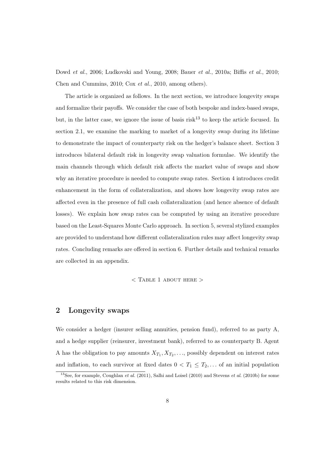Dowd *et al.*, 2006; Ludkovski and Young, 2008; Bauer *et al.*, 2010a; Biffis *et al.*, 2010; Chen and Cummins, 2010; Cox *et al.*, 2010, among others).

The article is organized as follows. In the next section, we introduce longevity swaps and formalize their payoffs. We consider the case of both bespoke and index-based swaps, but, in the latter case, we ignore the issue of basis  $risk^{13}$  to keep the article focused. In section 2.1, we examine the marking to market of a longevity swap during its lifetime to demonstrate the impact of counterparty risk on the hedger's balance sheet. Section 3 introduces bilateral default risk in longevity swap valuation formulae. We identify the main channels through which default risk affects the market value of swaps and show why an iterative procedure is needed to compute swap rates. Section 4 introduces credit enhancement in the form of collateralization, and shows how longevity swap rates are affected even in the presence of full cash collateralization (and hence absence of default losses). We explain how swap rates can be computed by using an iterative procedure based on the Least-Squares Monte Carlo approach. In section 5, several stylized examples are provided to understand how different collateralization rules may affect longevity swap rates. Concluding remarks are offered in section 6. Further details and technical remarks are collected in an appendix.

### $<$  TABLE 1 ABOUT HERE  $>$

### 2 Longevity swaps

We consider a hedger (insurer selling annuities, pension fund), referred to as party A, and a hedge supplier (reinsurer, investment bank), referred to as counterparty B. Agent A has the obligation to pay amounts  $X_{T_1}, X_{T_2}, \ldots$ , possibly dependent on interest rates and inflation, to each survivor at fixed dates  $0 < T_1 \leq T_2, \ldots$  of an initial population

<sup>&</sup>lt;sup>13</sup>See, for example, Coughlan *et al.* (2011), Salhi and Loisel (2010) and Stevens *et al.* (2010b) for some results related to this risk dimension.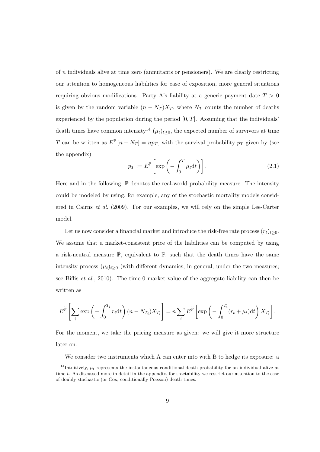of n individuals alive at time zero (annuitants or pensioners). We are clearly restricting our attention to homogeneous liabilities for ease of exposition, more general situations requiring obvious modifications. Party A's liability at a generic payment date  $T > 0$ is given by the random variable  $(n - N_T)X_T$ , where  $N_T$  counts the number of deaths experienced by the population during the period  $[0, T]$ . Assuming that the individuals' death times have common intensity<sup>14</sup>  $(\mu_t)_{t\geq 0}$ , the expected number of survivors at time T can be written as  $E^{\mathbb{P}}[n - N_T] = np_T$ , with the survival probability  $p_T$  given by (see the appendix)

$$
p_T := E^{\mathbb{P}} \left[ \exp \left( - \int_0^T \mu_t \mathrm{d}t \right) \right]. \tag{2.1}
$$

Here and in the following,  $\mathbb P$  denotes the real-world probability measure. The intensity could be modeled by using, for example, any of the stochastic mortality models considered in Cairns *et al.* (2009). For our examples, we will rely on the simple Lee-Carter model.

Let us now consider a financial market and introduce the risk-free rate process  $(r_t)_{t>0}$ . We assume that a market-consistent price of the liabilities can be computed by using a risk-neutral measure  $\widetilde{\mathbb{P}}$ , equivalent to  $\mathbb{P}$ , such that the death times have the same intensity process  $(\mu_t)_{t>0}$  (with different dynamics, in general, under the two measures; see Biffis *et al.*, 2010). The time-0 market value of the aggregate liability can then be written as

$$
E^{\widetilde{\mathbb{P}}}\left[\sum_{i} \exp\left(-\int_{0}^{T_i} r_t \mathrm{d}t\right)(n - N_{T_i}) X_{T_i}\right] = n \sum_{i} E^{\widetilde{\mathbb{P}}}\left[\exp\left(-\int_{0}^{T_i} (r_t + \mu_t) \mathrm{d}t\right) X_{T_i}\right].
$$

For the moment, we take the pricing measure as given: we will give it more structure later on.

We consider two instruments which A can enter into with B to hedge its exposure: a

<sup>&</sup>lt;sup>14</sup>Intuitively,  $\mu_t$  represents the instantaneous conditional death probability for an individual alive at time t. As discussed more in detail in the appendix, for tractability we restrict our attention to the case of doubly stochastic (or Cox, conditionally Poisson) death times.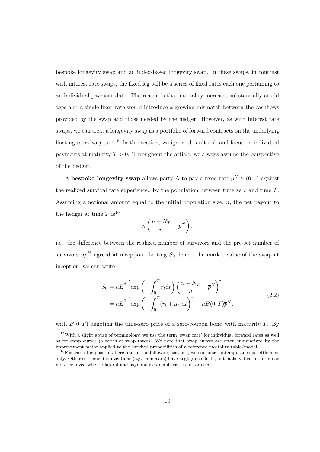bespoke longevity swap and an index-based longevity swap. In these swaps, in contrast with interest rate swaps, the fixed leg will be a series of fixed rates each one pertaining to an individual payment date. The reason is that mortality increases substantially at old ages and a single fixed rate would introduce a growing mismatch between the cashflows provided by the swap and those needed by the hedger. However, as with interest rate swaps, we can treat a longevity swap as a portfolio of forward contracts on the underlying floating (survival) rate.<sup>15</sup> In this section, we ignore default risk and focus on individual payments at maturity  $T > 0$ . Throughout the article, we always assume the perspective of the hedger.

A bespoke longevity swap allows party A to pay a fixed rate  $\bar{p}^N \in (0,1)$  against the realized survival rate experienced by the population between time zero and time T. Assuming a notional amount equal to the initial population size, n, the net payout to the hedger at time T is<sup>16</sup>

$$
n\left(\frac{n-N_T}{n}-\overline{p}^N\right),
$$

i.e., the difference between the realized number of survivors and the pre-set number of survivors  $n\bar{p}^N$  agreed at inception. Letting  $S_0$  denote the market value of the swap at inception, we can write

$$
S_0 = nE^{\tilde{\mathbb{P}}}\left[\exp\left(-\int_0^T r_t dt\right)\left(\frac{n - N_T}{n} - \overline{p}^N\right)\right]
$$
  
=  $nE^{\tilde{\mathbb{P}}}\left[\exp\left(-\int_0^T (r_t + \mu_t) dt\right)\right] - nB(0, T)\overline{p}^N,$  (2.2)

with  $B(0,T)$  denoting the time-zero price of a zero-coupon bond with maturity T. By

<sup>&</sup>lt;sup>15</sup>With a slight abuse of terminology, we use the term 'swap rate' for individual forward rates as well as for swap curves (a series of swap rates). We note that swap curves are often summarized by the improvement factor applied to the survival probabilities of a reference mortality table/model.

<sup>&</sup>lt;sup>16</sup>For ease of exposition, here and in the following sections, we consider contemporaneous settlement only. Other settlement conventions (e.g. in arrears) have negligible effects, but make valuation formulae more involved when bilateral and asymmetric default risk is introduced.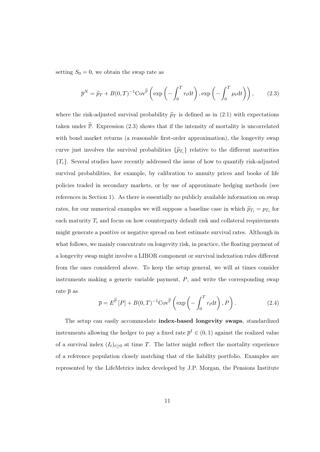setting  $S_0 = 0$ , we obtain the swap rate as

$$
\overline{p}^N = \widetilde{p}_T + B(0,T)^{-1} \text{Cov}^{\widetilde{\mathbb{P}}}\left(\exp\left(-\int_0^T r_t \mathrm{d}t\right), \exp\left(-\int_0^T \mu_t \mathrm{d}t\right)\right),\tag{2.3}
$$

where the risk-adjusted survival probability  $\tilde{p}_T$  is defined as in (2.1) with expectations taken under  $\widetilde{\mathbb{P}}$ . Expression (2.3) shows that if the intensity of mortality is uncorrelated with bond market returns (a reasonable first-order approximation), the longevity swap curve just involves the survival probabilities  $\{\widetilde{p}_{T_i}\}\$  relative to the different maturities  ${T<sub>i</sub>}$ . Several studies have recently addressed the issue of how to quantify risk-adjusted survival probabilities, for example, by calibration to annuity prices and books of life policies traded in secondary markets, or by use of approximate hedging methods (see references in Section 1). As there is essentially no publicly available information on swap rates, for our numerical examples we will suppose a baseline case in which  $\tilde{p}_{T_i} = p_{T_i}$  for each maturity  $T_i$  and focus on how counterparty default risk and collateral requirements might generate a positive or negative spread on best estimate survival rates. Although in what follows, we mainly concentrate on longevity risk, in practice, the floating payment of a longevity swap might involve a LIBOR component or survival indexation rules different from the ones considered above. To keep the setup general, we will at times consider instruments making a generic variable payment,  $P$ , and write the corresponding swap rate  $\bar{p}$  as

$$
\overline{p} = E^{\widetilde{\mathbb{P}}}[P] + B(0,T)^{-1} \text{Cov}^{\widetilde{\mathbb{P}}}\left(\exp\left(-\int_0^T r_t \mathrm{d}t\right), P\right). \tag{2.4}
$$

The setup can easily accommodate index-based longevity swaps, standardized instruments allowing the hedger to pay a fixed rate  $\bar{p}^I \in (0,1)$  against the realized value of a survival index  $(I_t)_{t\geq 0}$  at time T. The latter might reflect the mortality experience of a reference population closely matching that of the liability portfolio. Examples are represented by the LifeMetrics index developed by J.P. Morgan, the Pensions Institute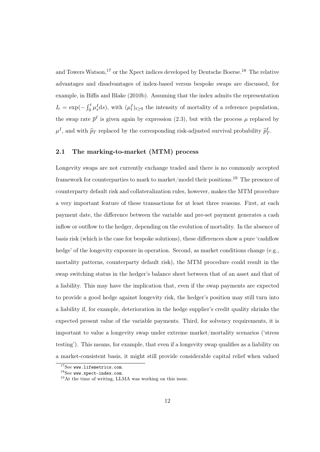and Towers Watson,<sup>17</sup> or the Xpect indices developed by Deutsche Boerse.<sup>18</sup> The relative advantages and disadvantages of index-based versus bespoke swaps are discussed, for example, in Biffis and Blake (2010b). Assuming that the index admits the representation  $I_t = \exp(-\int_0^t \mu_s^I ds)$ , with  $(\mu_t^I)_{t \geq 0}$  the intensity of mortality of a reference population, the swap rate  $\bar{p}^I$  is given again by expression (2.3), but with the process  $\mu$  replaced by  $\mu^I$ , and with  $\widetilde{p}_T$  replaced by the corresponding risk-adjusted survival probability  $\widetilde{p}_T^I$ .

### 2.1 The marking-to-market (MTM) process

Longevity swaps are not currently exchange traded and there is no commonly accepted framework for counterparties to mark to market/model their positions.<sup>19</sup> The presence of counterparty default risk and collateralization rules, however, makes the MTM procedure a very important feature of these transactions for at least three reasons. First, at each payment date, the difference between the variable and pre-set payment generates a cash inflow or outflow to the hedger, depending on the evolution of mortality. In the absence of basis risk (which is the case for bespoke solutions), these differences show a pure 'cashflow hedge' of the longevity exposure in operation. Second, as market conditions change (e.g., mortality patterns, counterparty default risk), the MTM procedure could result in the swap switching status in the hedger's balance sheet between that of an asset and that of a liability. This may have the implication that, even if the swap payments are expected to provide a good hedge against longevity risk, the hedger's position may still turn into a liability if, for example, deterioration in the hedge supplier's credit quality shrinks the expected present value of the variable payments. Third, for solvency requirements, it is important to value a longevity swap under extreme market/mortality scenarios ('stress testing'). This means, for example, that even if a longevity swap qualifies as a liability on a market-consistent basis, it might still provide considerable capital relief when valued

<sup>&</sup>lt;sup>17</sup>See www.lifemetrics.com.

 $^{18}$ See www.xpect-index.com.

<sup>19</sup>At the time of writing, LLMA was working on this issue.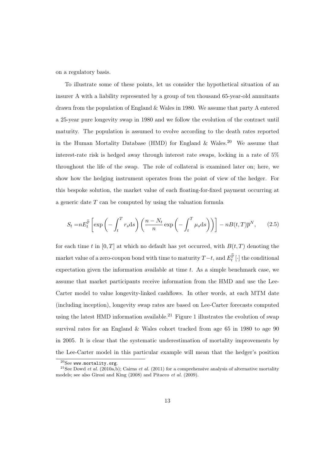on a regulatory basis.

To illustrate some of these points, let us consider the hypothetical situation of an insurer A with a liability represented by a group of ten thousand 65-year-old annuitants drawn from the population of England & Wales in 1980. We assume that party A entered a 25-year pure longevity swap in 1980 and we follow the evolution of the contract until maturity. The population is assumed to evolve according to the death rates reported in the Human Mortality Database (HMD) for England  $\&$  Wales.<sup>20</sup> We assume that interest-rate risk is hedged away through interest rate swaps, locking in a rate of 5% throughout the life of the swap. The role of collateral is examined later on; here, we show how the hedging instrument operates from the point of view of the hedger. For this bespoke solution, the market value of each floating-for-fixed payment occurring at a generic date T can be computed by using the valuation formula

$$
S_t = nE_t^{\widetilde{\mathbb{P}}}\left[\exp\left(-\int_t^T r_s \mathrm{d}s\right) \left(\frac{n - N_t}{n} \exp\left(-\int_t^T \mu_s \mathrm{d}s\right)\right)\right] - n(t,T)\overline{p}^N,\tag{2.5}
$$

for each time t in  $[0, T]$  at which no default has yet occurred, with  $B(t, T)$  denoting the market value of a zero-coupon bond with time to maturity  $T-t,$  and  $E_t^{\widetilde{\mathbb P}}\left[\cdot\right]$  the conditional expectation given the information available at time t. As a simple benchmark case, we assume that market participants receive information from the HMD and use the Lee-Carter model to value longevity-linked cashflows. In other words, at each MTM date (including inception), longevity swap rates are based on Lee-Carter forecasts computed using the latest HMD information available.<sup>21</sup> Figure 1 illustrates the evolution of swap survival rates for an England & Wales cohort tracked from age 65 in 1980 to age 90 in 2005. It is clear that the systematic underestimation of mortality improvements by the Lee-Carter model in this particular example will mean that the hedger's position

 $^{20}$ See www.mortality.org.

<sup>&</sup>lt;sup>21</sup>See Dowd *et al.* (2010a,b); Cairns *et al.* (2011) for a comprehensive analysis of alternative mortality models; see also Girosi and King (2008) and Pitacco et al. (2009).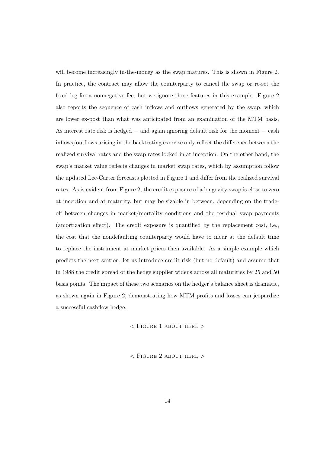will become increasingly in-the-money as the swap matures. This is shown in Figure 2. In practice, the contract may allow the counterparty to cancel the swap or re-set the fixed leg for a nonnegative fee, but we ignore these features in this example. Figure 2 also reports the sequence of cash inflows and outflows generated by the swap, which are lower ex-post than what was anticipated from an examination of the MTM basis. As interest rate risk is hedged − and again ignoring default risk for the moment − cash inflows/outflows arising in the backtesting exercise only reflect the difference between the realized survival rates and the swap rates locked in at inception. On the other hand, the swap's market value reflects changes in market swap rates, which by assumption follow the updated Lee-Carter forecasts plotted in Figure 1 and differ from the realized survival rates. As is evident from Figure 2, the credit exposure of a longevity swap is close to zero at inception and at maturity, but may be sizable in between, depending on the tradeoff between changes in market/mortality conditions and the residual swap payments (amortization effect). The credit exposure is quantified by the replacement cost, i.e., the cost that the nondefaulting counterparty would have to incur at the default time to replace the instrument at market prices then available. As a simple example which predicts the next section, let us introduce credit risk (but no default) and assume that in 1988 the credit spread of the hedge supplier widens across all maturities by 25 and 50 basis points. The impact of these two scenarios on the hedger's balance sheet is dramatic, as shown again in Figure 2, demonstrating how MTM profits and losses can jeopardize a successful cashflow hedge.

 $<$  FIGURE 1 ABOUT HERE  $>$ 

 $\langle$  FIGURE 2 ABOUT HERE  $>$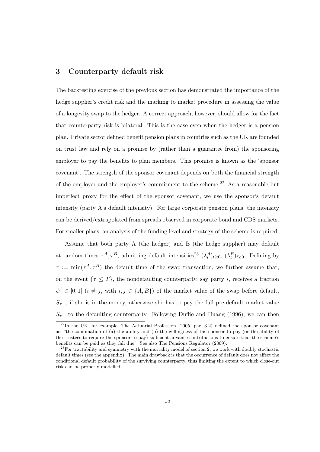### 3 Counterparty default risk

The backtesting exercise of the previous section has demonstrated the importance of the hedge supplier's credit risk and the marking to market procedure in assessing the value of a longevity swap to the hedger. A correct approach, however, should allow for the fact that counterparty risk is bilateral. This is the case even when the hedger is a pension plan. Private sector defined benefit pension plans in countries such as the UK are founded on trust law and rely on a promise by (rather than a guarantee from) the sponsoring employer to pay the benefits to plan members. This promise is known as the 'sponsor covenant'. The strength of the sponsor covenant depends on both the financial strength of the employer and the employer's commitment to the scheme.<sup>22</sup> As a reasonable but imperfect proxy for the effect of the sponsor covenant, we use the sponsor's default intensity (party A's default intensity). For large corporate pension plans, the intensity can be derived/extrapolated from spreads observed in corporate bond and CDS markets. For smaller plans, an analysis of the funding level and strategy of the scheme is required.

Assume that both party A (the hedger) and B (the hedge supplier) may default at random times  $\tau^A, \tau^B$ , admitting default intensities<sup>23</sup>  $(\lambda_t^A)_{t\geq0}$ ,  $(\lambda_t^B)_{t\geq0}$ . Defining by  $\tau := \min(\tau^A, \tau^B)$  the default time of the swap transaction, we further assume that, on the event  $\{\tau \leq T\}$ , the nondefaulting counterparty, say party *i*, receives a fraction  $\psi^j \in [0,1]$   $(i \neq j$ , with  $i, j \in \{A, B\}$  of the market value of the swap before default,  $S_{\tau-}$ , if she is in-the-money, otherwise she has to pay the full pre-default market value  $S_{\tau-}$  to the defaulting counterparty. Following Duffie and Huang (1996), we can then

 $^{22}$ In the UK, for example, The Actuarial Profession (2005, par. 3.2) defined the sponsor covenant as: "the combination of (a) the ability and (b) the willingness of the sponsor to pay (or the ability of the trustees to require the sponsor to pay) sufficient advance contributions to ensure that the scheme's benefits can be paid as they fall due." See also The Pensions Regulator (2009).

 $23$  For tractability and symmetry with the mortality model of section 2, we work with doubly stochastic default times (see the appendix). The main drawback is that the occurrence of default does not affect the conditional default probability of the surviving counterparty, thus limiting the extent to which close-out risk can be properly modelled.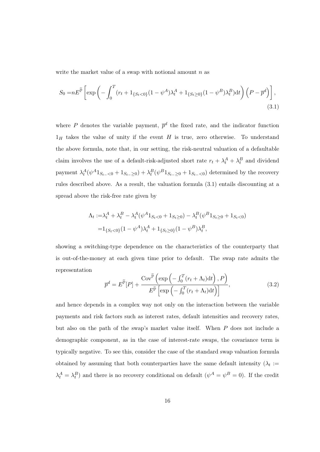write the market value of a swap with notional amount  $n$  as

$$
S_0 = nE^{\widetilde{\mathbb{P}}}\left[\exp\left(-\int_0^T (r_t + 1_{\{S_t < 0\}}(1 - \psi^A)\lambda_t^A + 1_{\{S_t \ge 0\}}(1 - \psi^B)\lambda_t^B)\mathrm{d}t\right) \left(P - \overline{p}^d\right)\right],\tag{3.1}
$$

where P denotes the variable payment,  $\bar{p}^d$  the fixed rate, and the indicator function  $1_H$  takes the value of unity if the event H is true, zero otherwise. To understand the above formula, note that, in our setting, the risk-neutral valuation of a defaultable claim involves the use of a default-risk-adjusted short rate  $r_t + \lambda_t^A + \lambda_t^B$  and dividend payment  $\lambda_t^A(\psi^A 1_{S_{t-}<0} + 1_{S_{t-}\geq 0}) + \lambda_t^B(\psi^B 1_{S_{t-}\geq 0} + 1_{S_{t-}<0})$  determined by the recovery rules described above. As a result, the valuation formula (3.1) entails discounting at a spread above the risk-free rate given by

$$
\Lambda_t := \lambda_t^A + \lambda_t^B - \lambda_t^A (\psi^A 1_{S_t < 0} + 1_{S_t \ge 0}) - \lambda_t^B (\psi^B 1_{S_t \ge 0} + 1_{S_t < 0})
$$
  
=  $1_{\{S_t < 0\}} (1 - \psi^A) \lambda_t^A + 1_{\{S_t \ge 0\}} (1 - \psi^B) \lambda_t^B$ ,

showing a switching-type dependence on the characteristics of the counterparty that is out-of-the-money at each given time prior to default. The swap rate admits the representation

$$
\overline{p}^d = E^{\widetilde{\mathbb{P}}}[P] + \frac{\text{Cov}^{\widetilde{\mathbb{P}}}\left(\exp\left(-\int_0^T (r_t + \Lambda_t) \mathrm{d}t\right), P\right)}{E^{\widetilde{\mathbb{P}}}\left[\exp\left(-\int_0^T (r_t + \Lambda_t) \mathrm{d}t\right)\right]},
$$
\n(3.2)

and hence depends in a complex way not only on the interaction between the variable payments and risk factors such as interest rates, default intensities and recovery rates, but also on the path of the swap's market value itself. When P does not include a demographic component, as in the case of interest-rate swaps, the covariance term is typically negative. To see this, consider the case of the standard swap valuation formula obtained by assuming that both counterparties have the same default intensity  $(\lambda_t :=$  $\lambda_t^A = \lambda_t^B$  and there is no recovery conditional on default  $(\psi^A = \psi^B = 0)$ . If the credit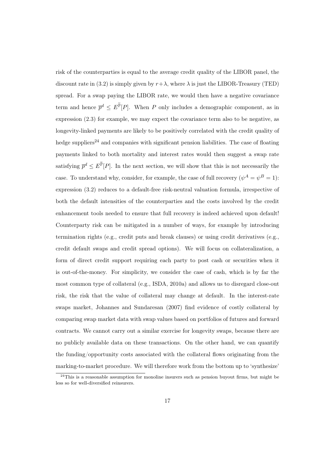risk of the counterparties is equal to the average credit quality of the LIBOR panel, the discount rate in (3.2) is simply given by  $r + \lambda$ , where  $\lambda$  is just the LIBOR-Treasury (TED) spread. For a swap paying the LIBOR rate, we would then have a negative covariance term and hence  $\bar{p}^d \leq E^{\tilde{\mathbb{P}}}[P]$ . When P only includes a demographic component, as in expression (2.3) for example, we may expect the covariance term also to be negative, as longevity-linked payments are likely to be positively correlated with the credit quality of hedge suppliers<sup>24</sup> and companies with significant pension liabilities. The case of floating payments linked to both mortality and interest rates would then suggest a swap rate satisfying  $\bar{p}^d \leq E^{\tilde{\mathbb{P}}}[P]$ . In the next section, we will show that this is not necessarily the case. To understand why, consider, for example, the case of full recovery  $(\psi^A = \psi^B = 1)$ : expression (3.2) reduces to a default-free risk-neutral valuation formula, irrespective of both the default intensities of the counterparties and the costs involved by the credit enhancement tools needed to ensure that full recovery is indeed achieved upon default! Counterparty risk can be mitigated in a number of ways, for example by introducing termination rights (e.g., credit puts and break clauses) or using credit derivatives (e.g., credit default swaps and credit spread options). We will focus on collateralization, a form of direct credit support requiring each party to post cash or securities when it is out-of-the-money. For simplicity, we consider the case of cash, which is by far the most common type of collateral (e.g., ISDA, 2010a) and allows us to disregard close-out risk, the risk that the value of collateral may change at default. In the interest-rate swaps market, Johannes and Sundaresan (2007) find evidence of costly collateral by comparing swap market data with swap values based on portfolios of futures and forward contracts. We cannot carry out a similar exercise for longevity swaps, because there are no publicly available data on these transactions. On the other hand, we can quantify the funding/opportunity costs associated with the collateral flows originating from the marking-to-market procedure. We will therefore work from the bottom up to 'synthesize'

 $24$ This is a reasonable assumption for monoline insurers such as pension buyout firms, but might be less so for well-diversified reinsurers.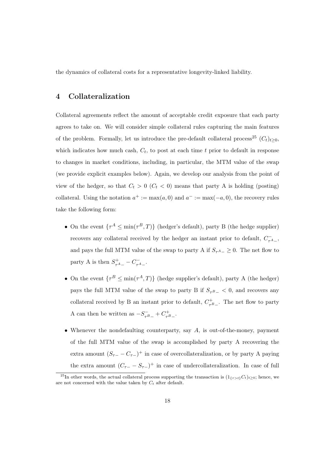the dynamics of collateral costs for a representative longevity-linked liability.

### 4 Collateralization

Collateral agreements reflect the amount of acceptable credit exposure that each party agrees to take on. We will consider simple collateral rules capturing the main features of the problem. Formally, let us introduce the pre-default collateral process<sup>25</sup>  $(C_t)_{t>0}$ , which indicates how much cash,  $C_t$ , to post at each time t prior to default in response to changes in market conditions, including, in particular, the MTM value of the swap (we provide explicit examples below). Again, we develop our analysis from the point of view of the hedger, so that  $C_t > 0$  ( $C_t < 0$ ) means that party A is holding (posting) collateral. Using the notation  $a^+ := \max(a, 0)$  and  $a^- := \max(-a, 0)$ , the recovery rules take the following form:

- On the event  $\{\tau^A \leq \min(\tau^B, T)\}\$  (hedger's default), party B (the hedge supplier) recovers any collateral received by the hedger an instant prior to default,  $C_{\tau^A_-}^-$ , and pays the full MTM value of the swap to party A if  $S_{\tau^A_-} \geq 0$ . The net flow to party A is then  $S_{\tau^A-}^+ - C_{\tau^A-}^-$ .
- On the event  $\{\tau^B \leq \min(\tau^A, T)\}\$  (hedge supplier's default), party A (the hedger) pays the full MTM value of the swap to party B if  $S_{\tau B-} < 0$ , and recovers any collateral received by B an instant prior to default,  $C_{\tau B}^{+}$ . The net flow to party A can then be written as  $-S_{\tau B}^- + C_{\tau B}^+$ .
- Whenever the nondefaulting counterparty, say  $A$ , is out-of-the-money, payment of the full MTM value of the swap is accomplished by party A recovering the extra amount  $(S_{\tau-} - C_{\tau-})^+$  in case of overcollateralization, or by party A paying the extra amount  $(C_{\tau-} - S_{\tau-})^+$  in case of undercollateralization. In case of full

<sup>&</sup>lt;sup>25</sup>In other words, the actual collateral process supporting the transaction is  $(1_{\{\tau>t\}}C_t)_{t\geq0}$ ; hence, we are not concerned with the value taken by  $C_t$  after default.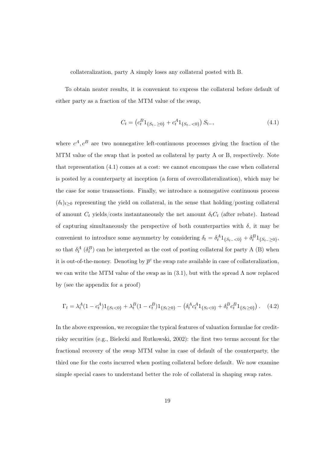collateralization, party A simply loses any collateral posted with B.

To obtain neater results, it is convenient to express the collateral before default of either party as a fraction of the MTM value of the swap,

$$
C_t = \left( c_t^B 1_{\{S_{t-} \ge 0\}} + c_t^A 1_{\{S_{t-} < 0\}} \right) S_{t-},\tag{4.1}
$$

where  $c^A$ ,  $c^B$  are two nonnegative left-continuous processes giving the fraction of the MTM value of the swap that is posted as collateral by party A or B, respectively. Note that representation (4.1) comes at a cost: we cannot encompass the case when collateral is posted by a counterparty at inception (a form of overcollateralization), which may be the case for some transactions. Finally, we introduce a nonnegative continuous process  $(\delta_t)_{t>0}$  representing the yield on collateral, in the sense that holding/posting collateral of amount  $C_t$  yields/costs instantaneously the net amount  $\delta_t C_t$  (after rebate). Instead of capturing simultaneously the perspective of both counterparties with  $\delta$ , it may be convenient to introduce some asymmetry by considering  $\delta_t = \delta_t^A 1_{\{S_{t-} < 0\}} + \delta_t^B 1_{\{S_{t-} \geq 0\}},$ so that  $\delta_t^A$  ( $\delta_t^B$ ) can be interpreted as the cost of posting collateral for party A (B) when it is out-of-the-money. Denoting by  $\bar{p}^c$  the swap rate available in case of collateralization, we can write the MTM value of the swap as in  $(3.1)$ , but with the spread  $\Lambda$  now replaced by (see the appendix for a proof)

$$
\Gamma_t = \lambda_t^A (1 - c_t^A) \mathbf{1}_{\{S_t < 0\}} + \lambda_t^B (1 - c_t^B) \mathbf{1}_{\{S_t \ge 0\}} - \left( \delta_t^A c_t^A \mathbf{1}_{\{S_t < 0\}} + \delta_t^B c_t^B \mathbf{1}_{\{S_t \ge 0\}} \right). \tag{4.2}
$$

In the above expression, we recognize the typical features of valuation formulae for creditrisky securities (e.g., Bielecki and Rutkowski, 2002): the first two terms account for the fractional recovery of the swap MTM value in case of default of the counterparty, the third one for the costs incurred when posting collateral before default. We now examine simple special cases to understand better the role of collateral in shaping swap rates.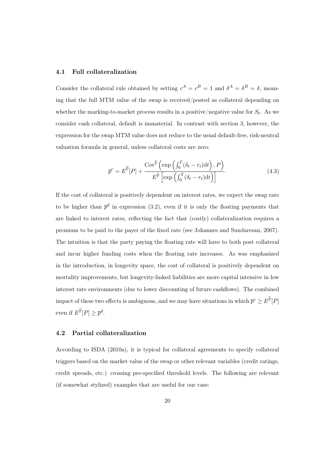### 4.1 Full collateralization

Consider the collateral rule obtained by setting  $c^A = c^B = 1$  and  $\delta^A = \delta^B = \delta$ , meaning that the full MTM value of the swap is received/posted as collateral depending on whether the marking-to-market process results in a positive/negative value for  $S_t$ . As we consider cash collateral, default is immaterial. In contrast with section 3, however, the expression for the swap MTM value does not reduce to the usual default-free, risk-neutral valuation formula in general, unless collateral costs are zero:

$$
\overline{p}^c = E^{\widetilde{\mathbb{P}}}[P] + \frac{\text{Cov}^{\widetilde{\mathbb{P}}}\left(\exp\left(\int_0^T (\delta_t - r_t) dt\right), P\right)}{E^{\widetilde{\mathbb{P}}}\left[\exp\left(\int_0^T (\delta_t - r_t) dt\right)\right]}.
$$
\n(4.3)

If the cost of collateral is positively dependent on interest rates, we expect the swap rate to be higher than  $\bar{p}^d$  in expression (3.2), even if it is only the floating payments that are linked to interest rates, reflecting the fact that (costly) collateralization requires a premium to be paid to the payer of the fixed rate (see Johannes and Sundaresan, 2007). The intuition is that the party paying the floating rate will have to both post collateral and incur higher funding costs when the floating rate increases. As was emphasized in the introduction, in longevity space, the cost of collateral is positively dependent on mortality improvements, but longevity-linked liabilities are more capital intensive in low interest rate environments (due to lower discounting of future cashflows). The combined impact of these two effects is ambiguous, and we may have situations in which  $\overline{p}^c \ge \overline{E}^{\mathbb{P}}[P]$ even if  $E^{\widetilde{\mathbb{P}}}[P] \geq \overline{p}^d$ .

### 4.2 Partial collateralization

According to ISDA (2010a), it is typical for collateral agreements to specify collateral triggers based on the market value of the swap or other relevant variables (credit ratings, credit spreads, etc.) crossing pre-specified threshold levels. The following are relevant (if somewhat stylized) examples that are useful for our case: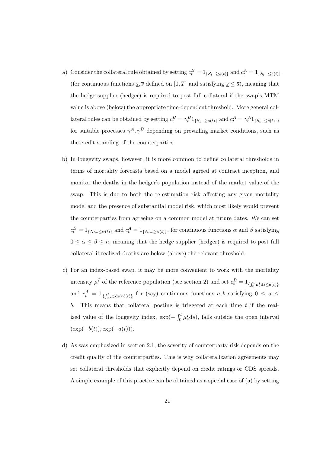- a) Consider the collateral rule obtained by setting  $c_t^B = 1_{\{S_{t-} \geq s(t)\}}$  and  $c_t^A = 1_{\{S_{t-} \leq s(t)\}}$ (for continuous functions  $\underline{s}, \overline{s}$  defined on  $[0, T]$  and satisfying  $\underline{s} \leq \overline{s}$ ), meaning that the hedge supplier (hedger) is required to post full collateral if the swap's MTM value is above (below) the appropriate time-dependent threshold. More general collateral rules can be obtained by setting  $c_t^B = \gamma_t^B 1_{\{S_{t-} \geq s(t)\}}$  and  $c_t^A = \gamma_t^A 1_{\{S_{t-} \leq s(t)\}},$ for suitable processes  $\gamma^A, \gamma^B$  depending on prevailing market conditions, such as the credit standing of the counterparties.
- b) In longevity swaps, however, it is more common to define collateral thresholds in terms of mortality forecasts based on a model agreed at contract inception, and monitor the deaths in the hedger's population instead of the market value of the swap. This is due to both the re-estimation risk affecting any given mortality model and the presence of substantial model risk, which most likely would prevent the counterparties from agreeing on a common model at future dates. We can set  $c_t^B = 1_{\{N_{t-} \leq \alpha(t)\}}$  and  $c_t^A = 1_{\{N_{t-} \geq \beta(t)\}}$ , for continuous functions  $\alpha$  and  $\beta$  satisfying  $0 \leq \alpha \leq \beta \leq n$ , meaning that the hedge supplier (hedger) is required to post full collateral if realized deaths are below (above) the relevant threshold.
- c) For an index-based swap, it may be more convenient to work with the mortality intensity  $\mu^I$  of the reference population (see section 2) and set  $c_t^B = 1_{\{ \int_0^t \mu_s^I ds \le a(t) \}}$ and  $c_t^A = 1_{\{ \int_0^t \mu_s^I ds \ge b(t) \}}$  for (say) continuous functions  $a, b$  satisfying  $0 \le a \le$ b. This means that collateral posting is triggered at each time  $t$  if the realized value of the longevity index,  $\exp(-\int_0^t \mu_s^I ds)$ , falls outside the open interval  $(\exp(-b(t)), \exp(-a(t))).$
- d) As was emphasized in section 2.1, the severity of counterparty risk depends on the credit quality of the counterparties. This is why collateralization agreements may set collateral thresholds that explicitly depend on credit ratings or CDS spreads. A simple example of this practice can be obtained as a special case of (a) by setting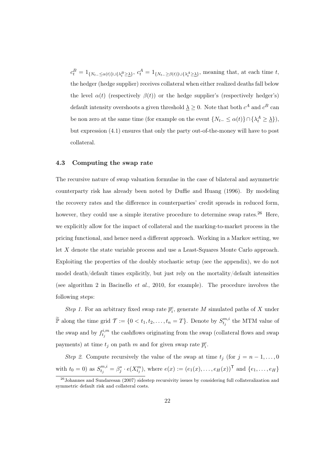$c_t^B = 1_{\{N_t = \leq \alpha(t)\}\cup\{\lambda_t^B \geq \lambda\}},\ c_t^A = 1_{\{N_t = \geq \beta(t)\}\cup\{\lambda_t^A \geq \lambda\}},\$  meaning that, at each time t, the hedger (hedge supplier) receives collateral when either realized deaths fall below the level  $\alpha(t)$  (respectively  $\beta(t)$ ) or the hedge supplier's (respectively hedger's) default intensity overshoots a given threshold  $\underline{\lambda} \geq 0$ . Note that both  $c^A$  and  $c^B$  can be non zero at the same time (for example on the event  $\{N_{t-} \leq \alpha(t)\} \cap \{\lambda_t^A \geq \underline{\lambda}\}\)$ , but expression (4.1) ensures that only the party out-of-the-money will have to post collateral.

### 4.3 Computing the swap rate

The recursive nature of swap valuation formulae in the case of bilateral and asymmetric counterparty risk has already been noted by Duffie and Huang (1996). By modeling the recovery rates and the difference in counterparties' credit spreads in reduced form, however, they could use a simple iterative procedure to determine swap rates.<sup>26</sup> Here, we explicitly allow for the impact of collateral and the marking-to-market process in the pricing functional, and hence need a different approach. Working in a Markov setting, we let X denote the state variable process and use a Least-Squares Monte Carlo approach. Exploiting the properties of the doubly stochastic setup (see the appendix), we do not model death/default times explicitly, but just rely on the mortality/default intensities (see algorithm 2 in Bacinello *et al.*, 2010, for example). The procedure involves the following steps:

*Step 1*. For an arbitrary fixed swap rate  $\overline{p}_i^c$ , generate M simulated paths of X under  $\widetilde{\mathbb{P}}$  along the time grid  $\mathcal{T} := \{0 < t_1, t_2, \ldots, t_n = T\}$ . Denote by  $S_{t_j}^{m,i}$  $t_j^{m,i}$  the MTM value of the swap and by  $f_{t_i}^{i,m}$  $t_j^{i,m}$  the cashflows originating from the swap (collateral flows and swap payments) at time  $t_j$  on path m and for given swap rate  $\overline{p}_i^c$ .

*Step 2*. Compute recursively the value of the swap at time  $t_j$  (for  $j = n-1, \ldots, 0$ ) with  $t_0 = 0$ ) as  $S_{t_j}^{m,i} = \beta_j^* \cdot e(X_{t_j}^m)$ , where  $e(x) := (e_1(x), \ldots, e_H(x))^{\mathsf{T}}$  and  $\{e_1, \ldots, e_H\}$ 

<sup>&</sup>lt;sup>26</sup>Johannes and Sundaresan (2007) sidestep recursivity issues by considering full collateralization and symmetric default risk and collateral costs.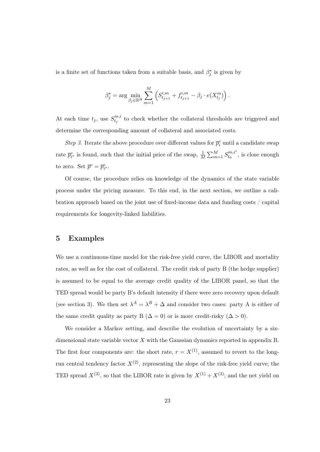is a finite set of functions taken from a suitable basis, and  $\beta_j^*$  is given by

$$
\beta_j^* = \arg \min_{\beta_j \in \mathbb{R}^H} \sum_{m=1}^M \left( S_{t_{j+1}}^{i,m} + f_{t_{j+1}}^{i,m} - \beta_j \cdot e(X_{t_j}^m) \right).
$$

At each time  $t_j$ , use  $S_{t_i}^{m,i}$  $t_j^{m,i}$  to check whether the collateral thresholds are triggered and determine the corresponding amount of collateral and associated costs.

*Step 3*. Iterate the above procedure over different values for  $\overline{p}_i^c$  until a candidate swap rate  $\bar{p}_{i^*}^c$  is found, such that the initial price of the swap,  $\frac{1}{M} \sum_{m=1}^{M} S_{t_0}^{m,i^*}$  $t_0^{m,i}$ , is close enough to zero. Set  $\overline{p}^c = \overline{p}_{i^*}^c$ .

Of course, the procedure relies on knowledge of the dynamics of the state variable process under the pricing measure. To this end, in the next section, we outline a calibration approach based on the joint use of fixed-income data and funding costs / capital requirements for longevity-linked liabilities.

### 5 Examples

We use a continuous-time model for the risk-free yield curve, the LIBOR and mortality rates, as well as for the cost of collateral. The credit risk of party B (the hedge supplier) is assumed to be equal to the average credit quality of the LIBOR panel, so that the TED spread would be party B's default intensity if there were zero recovery upon default (see section 3). We then set  $\lambda^A = \lambda^B + \Delta$  and consider two cases: party A is either of the same credit quality as party B  $(\Delta = 0)$  or is more credit-risky  $(\Delta > 0)$ .

We consider a Markov setting, and describe the evolution of uncertainty by a sixdimensional state variable vector  $X$  with the Gaussian dynamics reported in appendix  $B$ . The first four components are: the short rate,  $r = X^{(1)}$ , assumed to revert to the longrun central tendency factor  $X^{(2)}$ , representing the slope of the risk-free yield curve; the TED spread  $X^{(3)}$ , so that the LIBOR rate is given by  $X^{(1)} + X^{(3)}$ ; and the net yield on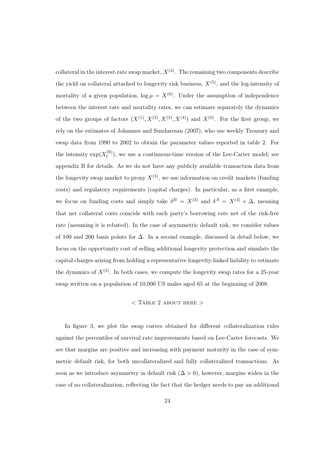collateral in the interest-rate swap market,  $X^{(4)}$ . The remaining two components describe the yield on collateral attached to longevity risk business,  $X^{(5)}$ , and the log-intensity of mortality of a given population,  $\log \mu = X^{(6)}$ . Under the assumption of independence between the interest rate and mortality rates, we can estimate separately the dynamics of the two groups of factors  $(X^{(1)}, X^{(2)}, X^{(3)}, X^{(4)})$  and  $X^{(6)}$ . For the first group, we rely on the estimates of Johannes and Sundaresan (2007), who use weekly Treasury and swap data from 1990 to 2002 to obtain the parameter values reported in table 2. For the intensity  $\exp(X_t^{(6)})$  $t^{(0)}$ , we use a continuous-time version of the Lee-Carter model; see appendix B for details. As we do not have any publicly available transaction data from the longevity swap market to proxy  $X^{(5)}$ , we use information on credit markets (funding costs) and regulatory requirements (capital charges). In particular, as a first example, we focus on funding costs and simply take  $\delta^B = X^{(3)}$  and  $\delta^A = X^{(3)} + \Delta$ , meaning that net collateral costs coincide with each party's borrowing rate net of the risk-free rate (assuming it is rebated). In the case of asymmetric default risk, we consider values of 100 and 200 basis points for ∆. In a second example, discussed in detail below, we focus on the opportunity cost of selling additional longevity protection and simulate the capital charges arising from holding a representative longevity-linked liability to estimate the dynamics of  $X^{(5)}$ . In both cases, we compute the longevity swap rates for a 25-year swap written on a population of 10,000 US males aged 65 at the beginning of 2008.

### $<$  Table 2 about here  $>$

In figure 3, we plot the swap curves obtained for different collateralization rules against the percentiles of survival rate improvements based on Lee-Carter forecasts. We see that margins are positive and increasing with payment maturity in the case of symmetric default risk, for both uncollateralized and fully collateralized transactions. As soon as we introduce asymmetry in default risk  $(\Delta > 0)$ , however, margins widen in the case of no collateralization, reflecting the fact that the hedger needs to pay an additional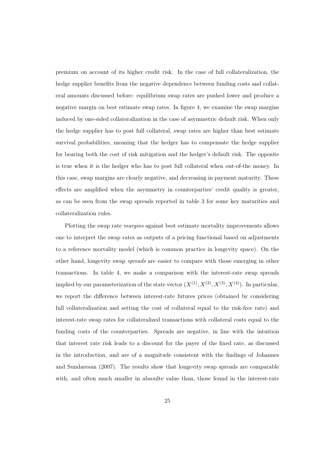premium on account of its higher credit risk. In the case of full collateralization, the hedge supplier benefits from the negative dependence between funding costs and collateral amounts discussed before: equilibrium swap rates are pushed lower and produce a negative margin on best estimate swap rates. In figure 4, we examine the swap margins induced by one-sided collateralization in the case of asymmetric default risk. When only the hedge supplier has to post full collateral, swap rates are higher than best estimate survival probabilities, meaning that the hedger has to compensate the hedge supplier for bearing both the cost of risk mitigation and the hedger's default risk. The opposite is true when it is the hedger who has to post full collateral when out-of-the money. In this case, swap margins are clearly negative, and decreasing in payment maturity. These effects are amplified when the asymmetry in counterparties' credit quality is greater, as can be seen from the swap spreads reported in table 3 for some key maturities and collateralization rules.

Plotting the swap rate *margins* against best estimate mortality improvements allows one to interpret the swap rates as outputs of a pricing functional based on adjustments to a reference mortality model (which is common practice in longevity space). On the other hand, longevity swap *spreads* are easier to compare with those emerging in other transactions. In table 4, we make a comparison with the interest-rate swap spreads implied by our parameterization of the state vector  $(X^{(1)}, X^{(2)}, X^{(3)}, X^{(4)})$ . In particular, we report the difference between interest-rate futures prices (obtained by considering full collateralization and setting the cost of collateral equal to the risk-free rate) and interest-rate swap rates for collateralized transactions with collateral costs equal to the funding costs of the counterparties. Spreads are negative, in line with the intuition that interest rate risk leads to a discount for the payer of the fixed rate, as discussed in the introduction, and are of a magnitude consistent with the findings of Johannes and Sundaresan (2007). The results show that longevity swap spreads are comparable with, and often much smaller in absoulte value than, those found in the interest-rate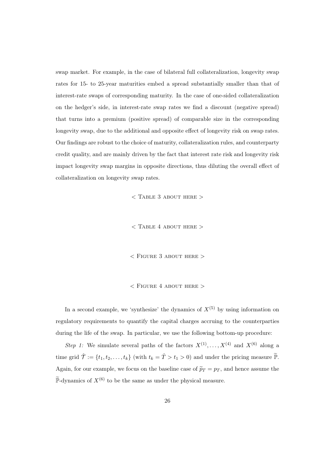swap market. For example, in the case of bilateral full collateralization, longevity swap rates for 15- to 25-year maturities embed a spread substantially smaller than that of interest-rate swaps of corresponding maturity. In the case of one-sided collateralization on the hedger's side, in interest-rate swap rates we find a discount (negative spread) that turns into a premium (positive spread) of comparable size in the corresponding longevity swap, due to the additional and opposite effect of longevity risk on swap rates. Our findings are robust to the choice of maturity, collateralization rules, and counterparty credit quality, and are mainly driven by the fact that interest rate risk and longevity risk impact longevity swap margins in opposite directions, thus diluting the overall effect of collateralization on longevity swap rates.

 $<$  Table 3 about here  $>$ 

 $<$  TABLE 4 ABOUT HERE  $>$ 

 $<$  FIGURE 3 ABOUT HERE  $>$ 

### $<$  FIGURE 4 ABOUT HERE  $>$

In a second example, we 'synthesize' the dynamics of  $X^{(5)}$  by using information on regulatory requirements to quantify the capital charges accruing to the counterparties during the life of the swap. In particular, we use the following bottom-up procedure:

*Step 1:* We simulate several paths of the factors  $X^{(1)}, \ldots, X^{(4)}$  and  $X^{(6)}$  along a time grid  $\hat{\mathcal{T}} := \{t_1, t_2, \ldots, t_k\}$  (with  $t_k = \hat{\mathcal{T}} > t_1 > 0$ ) and under the pricing measure  $\tilde{\mathbb{P}}$ . Again, for our example, we focus on the baseline case of  $\tilde{p}_T = p_T$ , and hence assume the  $\widetilde{\mathbb{P}}$ -dynamics of  $X^{(6)}$  to be the same as under the physical measure.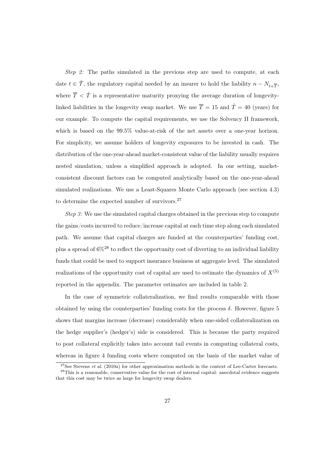*Step 2:* The paths simulated in the previous step are used to compute, at each date  $t \in \hat{\mathcal{T}}$ , the regulatory capital needed by an insurer to hold the liability  $n - N_{t+\overline{\mathcal{T}}},$ where  $\overline{T}$  <  $\hat{T}$  is a representative maturity proxying the average duration of longevitylinked liabilities in the longevity swap market. We use  $\overline{T} = 15$  and  $\hat{T} = 40$  (years) for our example. To compute the capital requirements, we use the Solvency II framework, which is based on the 99.5% value-at-risk of the net assets over a one-year horizon. For simplicity, we assume holders of longevity exposures to be invested in cash. The distribution of the one-year-ahead market-consistent value of the liability usually requires nested simulation, unless a simplified approach is adopted. In our setting, marketconsistent discount factors can be computed analytically based on the one-year-ahead simulated realizations. We use a Least-Squares Monte Carlo approach (see section 4.3) to determine the expected number of survivors.<sup>27</sup>

*Step 3:* We use the simulated capital charges obtained in the previous step to compute the gains/costs incurred to reduce/increase capital at each time step along each simulated path. We assume that capital charges are funded at the counterparties' funding cost, plus a spread of  $6\%^{28}$  to reflect the opportunity cost of diverting to an individual liability funds that could be used to support insurance business at aggregate level. The simulated realizations of the opportunity cost of capital are used to estimate the dynamics of  $X^{(5)}$ reported in the appendix. The parameter estimates are included in table 2.

In the case of symmetric collateralization, we find results comparable with those obtained by using the counterparties' funding costs for the process  $\delta$ . However, figure 5 shows that margins increase (decrease) considerably when one-sided collateralization on the hedge supplier's (hedger's) side is considered. This is because the party required to post collateral explicitly takes into account tail events in computing collateral costs, whereas in figure 4 funding costs where computed on the basis of the market value of

<sup>&</sup>lt;sup>27</sup>See Stevens *et al.* (2010a) for other approximation methods in the context of Lee-Carter forecasts. <sup>28</sup>This is a reasonable, conservative value for the cost of internal capital: anecdotal evidence suggests

that this cost may be twice as large for longevity swap dealers.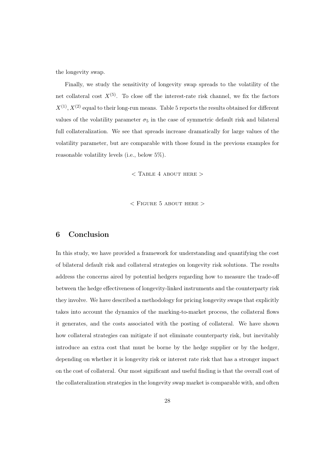the longevity swap.

Finally, we study the sensitivity of longevity swap spreads to the volatility of the net collateral cost  $X^{(5)}$ . To close off the interest-rate risk channel, we fix the factors  $X^{(1)}, X^{(2)}$  equal to their long-run means. Table 5 reports the results obtained for different values of the volatility parameter  $\sigma_5$  in the case of symmetric default risk and bilateral full collateralization. We see that spreads increase dramatically for large values of the volatility parameter, but are comparable with those found in the previous examples for reasonable volatility levels (i.e., below 5%).

 $<$  TABLE 4 ABOUT HERE  $>$ 

 $<$  FIGURE 5 ABOUT HERE  $>$ 

### 6 Conclusion

In this study, we have provided a framework for understanding and quantifying the cost of bilateral default risk and collateral strategies on longevity risk solutions. The results address the concerns aired by potential hedgers regarding how to measure the trade-off between the hedge effectiveness of longevity-linked instruments and the counterparty risk they involve. We have described a methodology for pricing longevity swaps that explicitly takes into account the dynamics of the marking-to-market process, the collateral flows it generates, and the costs associated with the posting of collateral. We have shown how collateral strategies can mitigate if not eliminate counterparty risk, but inevitably introduce an extra cost that must be borne by the hedge supplier or by the hedger, depending on whether it is longevity risk or interest rate risk that has a stronger impact on the cost of collateral. Our most significant and useful finding is that the overall cost of the collateralization strategies in the longevity swap market is comparable with, and often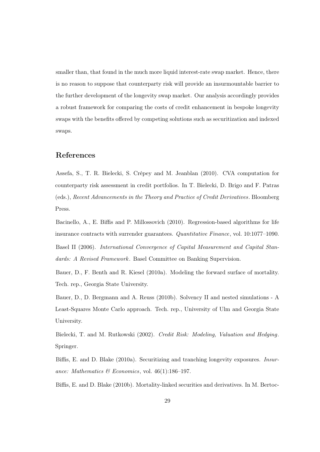smaller than, that found in the much more liquid interest-rate swap market. Hence, there is no reason to suppose that counterparty risk will provide an insurmountable barrier to the further development of the longevity swap market. Our analysis accordingly provides a robust framework for comparing the costs of credit enhancement in bespoke longevity swaps with the benefits offered by competing solutions such as securitization and indexed swaps.

### References

Assefa, S., T. R. Bielecki, S. Crépey and M. Jeanblan (2010). CVA computation for counterparty risk assessment in credit portfolios. In T. Bielecki, D. Brigo and F. Patras (eds.), *Recent Advancements in the Theory and Practice of Credit Derivatives*. Bloomberg Press.

Bacinello, A., E. Biffis and P. Millossovich (2010). Regression-based algorithms for life insurance contracts with surrender guarantees. *Quantitative Finance*, vol. 10:1077–1090. Basel II (2006). *International Convergence of Capital Measurement and Capital Standards: A Revised Framework*. Basel Committee on Banking Supervision.

Bauer, D., F. Benth and R. Kiesel (2010a). Modeling the forward surface of mortality. Tech. rep., Georgia State University.

Bauer, D., D. Bergmann and A. Reuss (2010b). Solvency II and nested simulations - A Least-Squares Monte Carlo approach. Tech. rep., University of Ulm and Georgia State University.

Bielecki, T. and M. Rutkowski (2002). *Credit Risk: Modeling, Valuation and Hedging*. Springer.

Biffis, E. and D. Blake (2010a). Securitizing and tranching longevity exposures. *Insurance: Mathematics & Economics*, vol. 46(1):186–197.

Biffis, E. and D. Blake (2010b). Mortality-linked securities and derivatives. In M. Bertoc-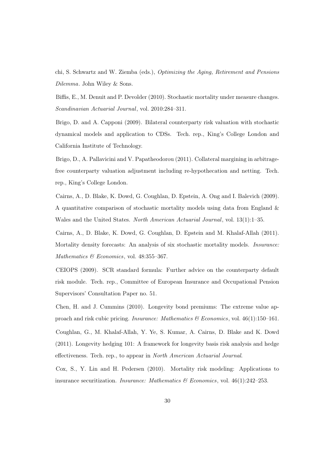chi, S. Schwartz and W. Ziemba (eds.), *Optimizing the Aging, Retirement and Pensions Dilemma*. John Wiley & Sons.

Biffis, E., M. Denuit and P. Devolder (2010). Stochastic mortality under measure changes. *Scandinavian Actuarial Journal*, vol. 2010:284–311.

Brigo, D. and A. Capponi (2009). Bilateral counterparty risk valuation with stochastic dynamical models and application to CDSs. Tech. rep., King's College London and California Institute of Technology.

Brigo, D., A. Pallavicini and V. Papatheodorou (2011). Collateral margining in arbitragefree counterparty valuation adjustment including re-hypothecation and netting. Tech. rep., King's College London.

Cairns, A., D. Blake, K. Dowd, G. Coughlan, D. Epstein, A. Ong and I. Balevich (2009). A quantitative comparison of stochastic mortality models using data from England  $\&$ Wales and the United States. *North American Actuarial Journal*, vol. 13(1):1–35.

Cairns, A., D. Blake, K. Dowd, G. Coughlan, D. Epstein and M. Khalaf-Allah (2011). Mortality density forecasts: An analysis of six stochastic mortality models. *Insurance: Mathematics & Economics*, vol. 48:355–367.

CEIOPS (2009). SCR standard formula: Further advice on the counterparty default risk module. Tech. rep., Committee of European Insurance and Occupational Pension Supervisors' Consultation Paper no. 51.

Chen, H. and J. Cummins (2010). Longevity bond premiums: The extreme value approach and risk cubic pricing. *Insurance: Mathematics & Economics*, vol. 46(1):150–161.

Coughlan, G., M. Khalaf-Allah, Y. Ye, S. Kumar, A. Cairns, D. Blake and K. Dowd (2011). Longevity hedging 101: A framework for longevity basis risk analysis and hedge effectiveness. Tech. rep., to appear in *North American Actuarial Journal*.

Cox, S., Y. Lin and H. Pedersen (2010). Mortality risk modeling: Applications to insurance securitization. *Insurance: Mathematics & Economics*, vol. 46(1):242–253.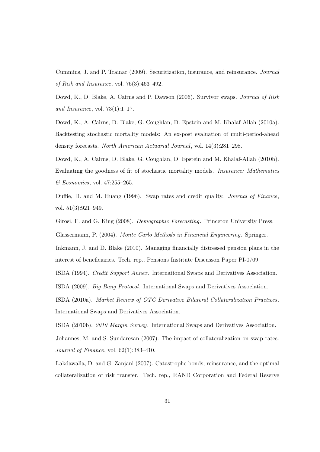Cummins, J. and P. Trainar (2009). Securitization, insurance, and reinsurance. *Journal of Risk and Insurance*, vol. 76(3):463–492.

Dowd, K., D. Blake, A. Cairns and P. Dawson (2006). Survivor swaps. *Journal of Risk and Insurance*, vol. 73(1):1–17.

Dowd, K., A. Cairns, D. Blake, G. Coughlan, D. Epstein and M. Khalaf-Allah (2010a). Backtesting stochastic mortality models: An ex-post evaluation of multi-period-ahead density forecasts. *North American Actuarial Journal*, vol. 14(3):281–298.

Dowd, K., A. Cairns, D. Blake, G. Coughlan, D. Epstein and M. Khalaf-Allah (2010b). Evaluating the goodness of fit of stochastic mortality models. *Insurance: Mathematics & Economics*, vol. 47:255–265.

Duffie, D. and M. Huang (1996). Swap rates and credit quality. *Journal of Finance*, vol. 51(3):921–949.

Girosi, F. and G. King (2008). *Demographic Forecasting*. Princeton University Press. Glassermann, P. (2004). *Monte Carlo Methods in Financial Engineering*. Springer.

Inkmann, J. and D. Blake (2010). Managing financially distressed pension plans in the interest of beneficiaries. Tech. rep., Pensions Institute Discusson Paper PI-0709.

ISDA (1994). *Credit Support Annex* . International Swaps and Derivatives Association.

ISDA (2009). *Big Bang Protocol*. International Swaps and Derivatives Association.

ISDA (2010a). *Market Review of OTC Derivative Bilateral Collateralization Practices*. International Swaps and Derivatives Association.

ISDA (2010b). *2010 Margin Survey*. International Swaps and Derivatives Association.

Johannes, M. and S. Sundaresan (2007). The impact of collateralization on swap rates. *Journal of Finance*, vol. 62(1):383–410.

Lakdawalla, D. and G. Zanjani (2007). Catastrophe bonds, reinsurance, and the optimal collateralization of risk transfer. Tech. rep., RAND Corporation and Federal Reserve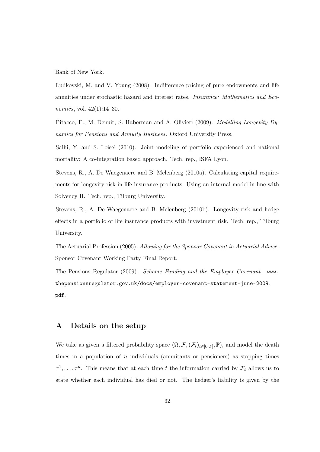Bank of New York.

Ludkovski, M. and V. Young (2008). Indifference pricing of pure endowments and life annuities under stochastic hazard and interest rates. *Insurance: Mathematics and Economics*, vol. 42(1):14–30.

Pitacco, E., M. Denuit, S. Haberman and A. Olivieri (2009). *Modelling Longevity Dynamics for Pensions and Annuity Business*. Oxford University Press.

Salhi, Y. and S. Loisel (2010). Joint modeling of portfolio experienced and national mortality: A co-integration based approach. Tech. rep., ISFA Lyon.

Stevens, R., A. De Waegenaere and B. Melenberg (2010a). Calculating capital requirements for longevity risk in life insurance products: Using an internal model in line with Solvency II. Tech. rep., Tilburg University.

Stevens, R., A. De Waegenaere and B. Melenberg (2010b). Longevity risk and hedge effects in a portfolio of life insurance products with investment risk. Tech. rep., Tilburg University.

The Actuarial Profession (2005). *Allowing for the Sponsor Covenant in Actuarial Advice*. Sponsor Covenant Working Party Final Report.

The Pensions Regulator (2009). *Scheme Funding and the Employer Covenant*. www. thepensionsregulator.gov.uk/docs/employer-covenant-statement-june-2009. pdf.

### A Details on the setup

We take as given a filtered probability space  $(\Omega, \mathcal{F}, (\mathcal{F}_t)_{t\in[0,T]}, \mathbb{P})$ , and model the death times in a population of  $n$  individuals (annuitants or pensioners) as stopping times  $\tau^1, \ldots, \tau^n$ . This means that at each time t the information carried by  $\mathcal{F}_t$  allows us to state whether each individual has died or not. The hedger's liability is given by the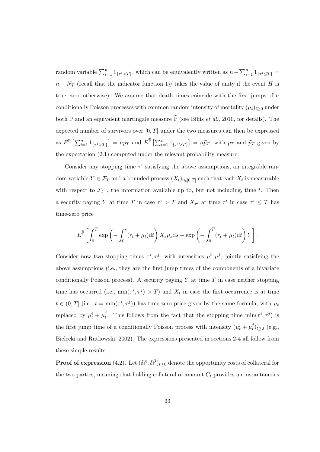random variable  $\sum_{i=1}^{n} 1_{\{\tau^i > T\}}$ , which can be equivalently written as  $n - \sum_{i=1}^{n} 1_{\{\tau^i \le T\}} =$  $n - N_T$  (recall that the indicator function  $1_H$  takes the value of unity if the event H is true, zero otherwise). We assume that death times coincide with the first jumps of  $n$ conditionally Poisson processes with common random intensity of mortality  $(\mu_t)_{t\geq 0}$  under both  $\mathbb P$  and an equivalent martingale measure  $\tilde{\mathbb P}$  (see Biffis *et al.*, 2010, for details). The expected number of survivors over  $[0, T]$  under the two measures can then be expressed as  $E^{\mathbb{P}}\left[\sum_{i=1}^{n}1_{\{\tau^{i}>\mathcal{T}\}}\right]=np_T$  and  $E^{\tilde{\mathbb{P}}}\left[\sum_{i=1}^{n}1_{\{\tau^{i}>\mathcal{T}\}}\right]=n\tilde{p}_T$ , with  $p_T$  and  $\tilde{p}_T$  given by the expectation (2.1) computed under the relevant probability measure.

Consider any stopping time  $\tau^i$  satisfying the above assumptions, an integrable random variable  $Y \in \mathcal{F}_T$  and a bounded process  $(X_t)_{t \in [0,T]}$  such that each  $X_t$  is measurable with respect to  $\mathcal{F}_{t-}$ , the information available up to, but not including, time t. Then a security paying Y at time T in case  $\tau^i > T$  and  $X_{\tau^i}$  at time  $\tau^i$  in case  $\tau^i \leq T$  has time-zero price

$$
E^{\widetilde{\mathbb{P}}}\left[\int_0^T \exp\left(-\int_0^s (r_t+\mu_t)dt\right)X_s\mu_s\mathrm{d}s + \exp\left(-\int_0^T (r_t+\mu_t)\mathrm{d}t\right)Y\right].
$$

Consider now two stopping times  $\tau^i, \tau^j$ , with intensities  $\mu^i, \mu^j$ , jointly satisfying the above assumptions (i.e., they are the first jump times of the components of a bivariate conditionally Poisson process). A security paying Y at time  $T$  in case neither stopping time has occurred (i.e.,  $\min(\tau^i, \tau^j) > T$ ) and  $X_t$  in case the first occurrence is at time  $t \in (0,T]$  (i.e.,  $t = \min(\tau^i, \tau^j)$ ) has time-zero price given by the same formula, with  $\mu_t$ replaced by  $\mu_t^i + \mu_t^j$  $\mu_t^j$ . This follows from the fact that the stopping time  $\min(\tau^i, \tau^j)$  is the first jump time of a conditionally Poisson process with intensity  $(\mu_t^i + \mu_t^j)$  $_{t}^{y})_{t\geq0}$  (e.g., Bielecki and Rutkowski, 2002). The expressions presented in sections 2-4 all follow from these simple results.

**Proof of expression** (4.2). Let  $(\delta_t^A, \delta_t^B)_{t \geq 0}$  denote the opportunity costs of collateral for the two parties, meaning that holding collateral of amount  $C<sub>t</sub>$  provides an instantaneous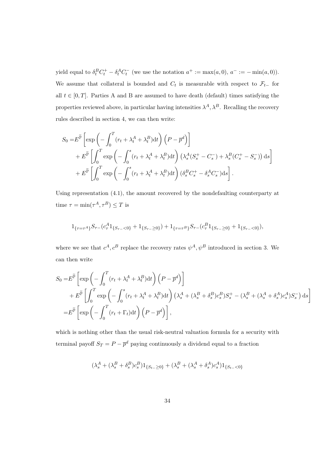yield equal to  $\delta_t^B C_t^+ - \delta_t^A C_t^-$  (we use the notation  $a^+ := \max(a, 0), a^- := -\min(a, 0)$ ). We assume that collateral is bounded and  $C_t$  is measurable with respect to  $\mathcal{F}_{t-}$  for all  $t \in [0, T]$ . Parties A and B are assumed to have death (default) times satisfying the properties reviewed above, in particular having intensities  $\lambda^A$ ,  $\lambda^B$ . Recalling the recovery rules described in section 4, we can then write:

$$
S_0 = E^{\widetilde{\mathbb{P}}}\left[\exp\left(-\int_0^T (r_t + \lambda_t^A + \lambda_t^B) dt\right) \left(P - \overline{p}^d\right)\right] + E^{\widetilde{\mathbb{P}}}\left[\int_0^T \exp\left(-\int_0^s (r_t + \lambda_t^A + \lambda_t^B) dt\right) \left(\lambda_s^A (S_s^+ - C_s^-) + \lambda_s^B (C_s^+ - S_s^-)\right) ds\right] + E^{\widetilde{\mathbb{P}}}\left[\int_0^T \exp\left(-\int_0^s (r_t + \lambda_t^A + \lambda_t^B) dt\right) \left(\delta_s^B C_s^+ - \delta_s^A C_s^-\right) ds\right].
$$

Using representation (4.1), the amount recovered by the nondefaulting counterparty at time  $\tau = \min(\tau^A, \tau^B) \le T$  is

$$
1_{\{\tau=\tau^A\}}S_{\tau-}(c_{\tau}^A1_{\{S_{\tau-}<0\}}+1_{\{S_{\tau-}\geq 0\}})+1_{\{\tau=\tau^B\}}S_{\tau-}(c_{\tau}^B1_{\{S_{\tau-}\geq 0\}}+1_{\{S_{\tau-}<0\}}),
$$

where we see that  $c^A$ ,  $c^B$  replace the recovery rates  $\psi^A$ ,  $\psi^B$  introduced in section 3. We can then write

$$
S_0 = E^{\tilde{\mathbb{P}}}\left[\exp\left(-\int_0^T (r_t + \lambda_t^A + \lambda_t^B) dt\right) \left(P - \overline{p}^d\right)\right]
$$
  
+ 
$$
E^{\tilde{\mathbb{P}}}\left[\int_0^T \exp\left(-\int_0^s (r_t + \lambda_t^A + \lambda_t^B) dt\right) \left(\lambda_s^A + (\lambda_s^B + \delta_s^B)c_s^B\right) S_s^+ - (\lambda_s^B + (\lambda_s^A + \delta_s^A)c_s^A)S_s^-\right) ds\right]
$$
  
= 
$$
E^{\tilde{\mathbb{P}}}\left[\exp\left(-\int_0^T (r_t + \Gamma_t) dt\right) \left(P - \overline{p}^d\right)\right],
$$

which is nothing other than the usual risk-neutral valuation formula for a security with terminal payoff  $S_T = P - \bar{p}^d$  paying continuously a dividend equal to a fraction

$$
(\lambda_s^A + (\lambda_s^B + \delta_s^B)c_s^B)1_{\{S_t - \ge 0\}} + (\lambda_s^B + (\lambda_s^A + \delta_s^A)c_s^A)1_{\{S_t - \le 0\}}
$$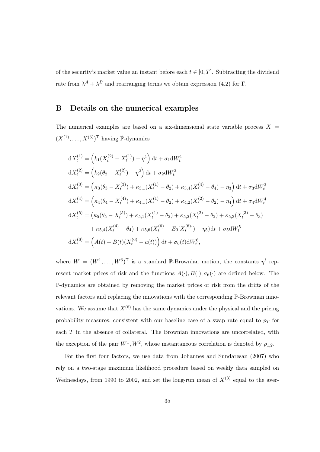of the security's market value an instant before each  $t \in [0, T]$ . Subtracting the dividend rate from  $\lambda^A + \lambda^B$  and rearranging terms we obtain expression (4.2) for  $\Gamma$ .

### B Details on the numerical examples

The numerical examples are based on a six-dimensional state variable process  $X =$  $(X^{(1)}, \ldots, X^{(6)})^{\mathsf{T}}$  having  $\widetilde{\mathbb{P}}$ -dynamics

$$
dX_t^{(1)} = (k_1(X_t^{(2)} - X_t^{(1)}) - \eta^1) dt + \sigma_1 dW_t^1
$$
  
\n
$$
dX_t^{(2)} = (k_2(\theta_2 - X_t^{(2)}) - \eta^2) dt + \sigma_2 dW_t^2
$$
  
\n
$$
dX_t^{(3)} = (\kappa_3(\theta_3 - X_t^{(3)}) + \kappa_{3,1}(X_t^{(1)} - \theta_2) + \kappa_{3,4}(X_t^{(4)} - \theta_4) - \eta_3) dt + \sigma_3 dW_t^3
$$
  
\n
$$
dX_t^{(4)} = (\kappa_4(\theta_4 - X_t^{(4)}) + \kappa_{4,1}(X_t^{(1)} - \theta_2) + \kappa_{4,2}(X_t^{(2)} - \theta_2) - \eta_4) dt + \sigma_4 dW_t^4
$$
  
\n
$$
dX_t^{(5)} = (\kappa_5(\theta_5 - X_t^{(5)}) + \kappa_{5,1}(X_t^{(1)} - \theta_2) + \kappa_{5,2}(X_t^{(2)} - \theta_2) + \kappa_{5,3}(X_t^{(3)} - \theta_3) + \kappa_{5,4}(X_t^{(4)} - \theta_4) + \kappa_{5,6}(X_t^{(6)} - E_0[X_t^{(6)}]) - \eta_5) dt + \sigma_5 dW_t^5
$$
  
\n
$$
dX_t^{(6)} = (A(t) + B(t)(X_t^{(6)} - a(t))) dt + \sigma_6(t) dW_t^6,
$$

where  $W = (W^1, \ldots, W^6)^{\mathsf{T}}$  is a standard  $\widetilde{\mathbb{P}}$ -Brownian motion, the constants  $\eta^i$  represent market prices of risk and the functions  $A(\cdot), B(\cdot), \sigma_6(\cdot)$  are defined below. The P-dynamics are obtained by removing the market prices of risk from the drifts of the relevant factors and replacing the innovations with the corresponding P-Brownian innovations. We assume that  $X^{(6)}$  has the same dynamics under the physical and the pricing probability measures, consistent with our baseline case of a swap rate equal to  $p_T$  for each T in the absence of collateral. The Brownian innovations are uncorrelated, with the exception of the pair  $W^1, W^2$ , whose instantaneous correlation is denoted by  $\rho_{1,2}$ .

For the first four factors, we use data from Johannes and Sundaresan (2007) who rely on a two-stage maximum likelihood procedure based on weekly data sampled on Wednesdays, from 1990 to 2002, and set the long-run mean of  $X^{(3)}$  equal to the aver-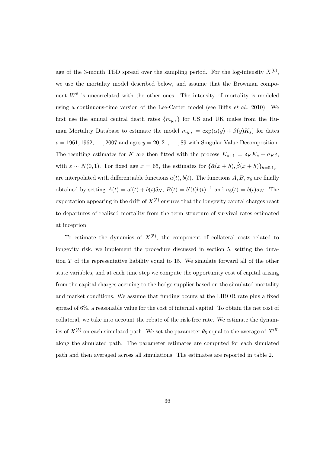age of the 3-month TED spread over the sampling period. For the log-intensity  $X^{(6)}$ , we use the mortality model described below, and assume that the Brownian component  $W^6$  is uncorrelated with the other ones. The intensity of mortality is modeled using a continuous-time version of the Lee-Carter model (see Biffis *et al.*, 2010). We first use the annual central death rates  ${m_{y,s}}$  for US and UK males from the Human Mortality Database to estimate the model  $m_{y,s} = \exp(\alpha(y) + \beta(y)K_s)$  for dates  $s = 1961, 1962, \ldots, 2007$  and ages  $y = 20, 21, \ldots, 89$  with Singular Value Decomposition. The resulting estimates for K are then fitted with the process  $K_{s+1} = \delta_K K_s + \sigma_K \varepsilon$ , with  $\varepsilon \sim N(0, 1)$ . For fixed age  $x = 65$ , the estimates for  $\{\hat{\alpha}(x+h), \hat{\beta}(x+h)\}_{h=0,1,...}$ are interpolated with differentiable functions  $a(t)$ ,  $b(t)$ . The functions A, B,  $\sigma_6$  are finally obtained by setting  $A(t) = a'(t) + b(t)\delta_K$ ,  $B(t) = b'(t)b(t)^{-1}$  and  $\sigma_6(t) = b(t)\sigma_K$ . The expectation appearing in the drift of  $X^{(5)}$  ensures that the longevity capital charges react to departures of realized mortality from the term structure of survival rates estimated at inception.

To estimate the dynamics of  $X^{(5)}$ , the component of collateral costs related to longevity risk, we implement the procedure discussed in section 5, setting the duration  $\overline{T}$  of the representative liability equal to 15. We simulate forward all of the other state variables, and at each time step we compute the opportunity cost of capital arising from the capital charges accruing to the hedge supplier based on the simulated mortality and market conditions. We assume that funding occurs at the LIBOR rate plus a fixed spread of 6%, a reasonable value for the cost of internal capital. To obtain the net cost of collateral, we take into account the rebate of the risk-free rate. We estimate the dynamics of  $X^{(5)}$  on each simulated path. We set the parameter  $\theta_5$  equal to the average of  $X^{(5)}$ along the simulated path. The parameter estimates are computed for each simulated path and then averaged across all simulations. The estimates are reported in table 2.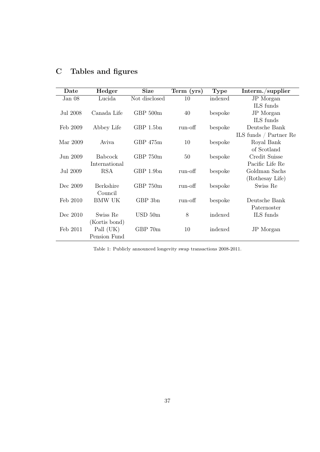| Date     | Hedger         | <b>Size</b>         | Term (yrs) | <b>Type</b> | Interm./supplier       |
|----------|----------------|---------------------|------------|-------------|------------------------|
| Jan $08$ | Lucida         | Not disclosed       | 10         | indexed     | JP Morgan              |
|          |                |                     |            |             | ILS funds              |
| Jul 2008 | Canada Life    | GBP 500m            | 40         | bespoke     | JP Morgan              |
|          |                |                     |            |             | ILS funds              |
| Feb 2009 | Abbey Life     | GBP 1.5bn           | run-off    | bespoke     | Deutsche Bank          |
|          |                |                     |            |             | ILS funds / Partner Re |
| Mar 2009 | Aviva          | GBP <sub>475m</sub> | 10         | bespoke     | Royal Bank             |
|          |                |                     |            |             | of Scotland            |
| Jun 2009 | <b>Babcock</b> | GBP 750m            | 50         | bespoke     | Credit Suisse          |
|          | International  |                     |            |             | Pacific Life Re        |
| Jul 2009 | <b>RSA</b>     | GBP 1.9bn           | run-off    | bespoke     | Goldman Sachs          |
|          |                |                     |            |             | (Rothesay Life)        |
| Dec 2009 | Berkshire      | GBP 750m            | run-off    | bespoke     | Swiss Re               |
|          | Council        |                     |            |             |                        |
| Feb 2010 | <b>BMW UK</b>  | GBP 3bn             | run-off    | bespoke     | Deutsche Bank          |
|          |                |                     |            |             | Paternoster            |
| Dec 2010 | Swiss Re       | $USD\,50m$          | 8          | indexed     | ILS funds              |
|          | (Kortis bond)  |                     |            |             |                        |
| Feb 2011 | Pall (UK)      | GBP 70m             | 10         | indexed     | JP Morgan              |
|          | Pension Fund   |                     |            |             |                        |

# C Tables and figures

Table 1: Publicly announced longevity swap transactions 2008-2011.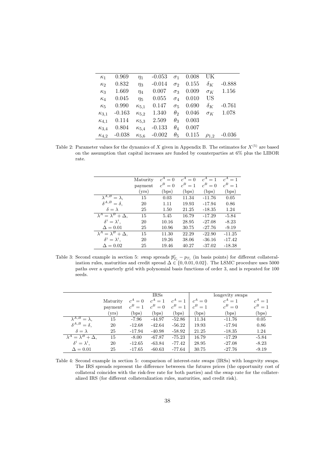| $\kappa_1$     | 0.969    | $\eta_1$       | $-0.053$ | $\sigma_1$   | 0.008 | UK                    |          |
|----------------|----------|----------------|----------|--------------|-------|-----------------------|----------|
| $\kappa$ 2     | 0.832    | $\eta_3$       | $-0.014$ | $\sigma_2$   | 0.155 | $\delta_K$            | $-0.888$ |
| $\kappa_3$     | 1.669    | $\eta_4$       | 0.007    | $\sigma_3$   | 0.009 | $\sigma$ <sub>K</sub> | 1.156    |
| $\kappa_4$     | 0.045    | $\eta_5$       | 0.055    | $\sigma_4$   | 0.010 | <b>US</b>             |          |
| $\kappa_5$     | 0.990    | $\kappa_{5,1}$ | 0.147    | $\sigma_{5}$ | 0.690 | $\delta_K$            | $-0.761$ |
| $\kappa_{3,1}$ | $-0.163$ | $\kappa_{5,2}$ | 1.340    | $\theta_2$   | 0.046 | $\sigma_K$            | 1.078    |
| $\kappa_{4,1}$ | 0.114    | $\kappa_{5,3}$ | 2.509    | $\theta_3$   | 0.003 |                       |          |
| $\kappa_{3,4}$ | 0.804    | $\kappa_{5,4}$ | $-0.133$ | $\theta_4$   | 0.007 |                       |          |
| $\kappa_{4,2}$ | $-0.038$ | $\kappa_{5.6}$ | $-0.002$ | $\theta_5$   | 0.115 | $\rho_{1,2}$          | $-0.036$ |

Table 2: Parameter values for the dynamics of X given in Appendix B. The estimates for  $X^{(5)}$  are based on the assumption that capital increases are funded by counterparties at 6% plus the LIBOR rate.

|                                   | Maturity       | $c^A = 0$ | $c^A$<br>$= 0$ | $c^A = 1$ | $c^A=1$  |
|-----------------------------------|----------------|-----------|----------------|-----------|----------|
|                                   | payment        | $c^B=0$   | $c^B=1$        | $c^B=0$   | $c^B=1$  |
|                                   | $_{\rm (vrs)}$ | (bps)     | (bps)          | (bps)     | (bps)    |
| $\lambda^{A,B}$<br>$=\lambda$ .   | 15             | 0.03      | 11.34          | $-11.76$  | 0.05     |
| $\delta^{A,B} = \delta,$          | 20             | 1.11      | 19.93          | $-17.94$  | 0.86     |
| $\delta = \lambda$                | 25             | 1.50      | 21.25          | $-18.35$  | 1.24     |
| $\lambda^A = \lambda^B + \Delta,$ | 15             | 5.45      | 16.79          | $-17.29$  | $-5.84$  |
| $\delta^i = \lambda^i$ ,          | 20             | 10.16     | 28.95          | $-27.08$  | $-8.23$  |
| $\Delta=0.01$                     | 25             | 10.96     | 30.75          | $-27.76$  | $-9.19$  |
| $\lambda^A = \lambda^B + \Delta.$ | 15             | 11.30     | 22.29          | $-22.90$  | $-11.25$ |
| $\delta^i = \lambda^i$ .          | 20             | 19.26     | 38.06          | $-36.16$  | $-17.42$ |
| $\Delta=0.02$                     | 25             | 19.46     | 40.27          | $-37.02$  | $-18.38$ |

Table 3: Second example in section 5: swap spreads  $\bar{p}_{T_i}^c - p_{T_i}$  (in basis points) for different collateralization rules, maturities and credit spread  $\Delta \in \{0, 0.01, 0.02\}$ . The LSMC procedure uses 5000 paths over a quarterly grid with polynomial basis functions of order 3, and is repeated for 100 seeds.

|                                   |          |                | <b>IRSs</b>  |          |         | longevity swaps |         |
|-----------------------------------|----------|----------------|--------------|----------|---------|-----------------|---------|
|                                   | Maturity | $c^A=0$        | $=1$         |          | $c^A=0$ | $=1$            | $c^A=1$ |
|                                   | payment  | $c^B = 1$      | $c^B=0$      | $c^B=1$  | $c^B=1$ | $c^B=0$         | $c^B=1$ |
|                                   | (vrs)    | $_{\rm (bps)}$ | $_{\rm bps}$ | (bps)    | (bps)   | (bps)           | (bps)   |
| $\lambda^{A,B}$<br>$= \lambda$ .  | 15       | $-7.96$        | $-44.97$     | $-52.86$ | 11.34   | $-11.76$        | 0.05    |
| $\delta^{A,B} = \delta.$          | 20       | $-12.68$       | $-42.64$     | $-56.22$ | 19.93   | $-17.94$        | 0.86    |
| $\delta = \lambda$                | 25       | $-17.94$       | $-40.98$     | $-58.92$ | 21.25   | $-18.35$        | 1.24    |
| $\lambda^A = \lambda^B + \Delta.$ | 15       | $-8.00$        | $-67.87$     | $-75.23$ | 16.79   | $-17.29$        | $-5.84$ |
| $\delta^i = \lambda^i$ .          | 20       | $-12.65$       | $-63.84$     | -77.42   | 28.95   | $-27.08$        | $-8.23$ |
| $\Delta = 0.01$                   | 25       | $-17.65$       | $-60.63$     | -77.64   | 30.75   | $-27.76$        | $-9.19$ |

Table 4: Second example in section 5: comparison of interest-rate swaps (IRSs) with longevity swaps. The IRS spreads represent the difference betweeen the futures prices (the opportunity cost of collateral coincides with the risk-free rate for both parties) and the swap rate for the collateralized IRS (for different collateralization rules, maturities, and credit risk).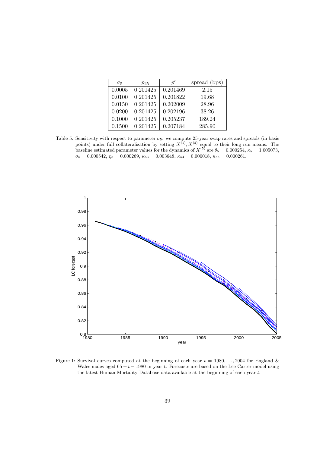| $\sigma_5$ | $p_{25}$ | $\overline{n}^c$ | spread (bps) |
|------------|----------|------------------|--------------|
| 0.0005     | 0.201425 | 0.201469         | 2.15         |
| 0.0100     | 0.201425 | 0.201822         | 19.68        |
| 0.0150     | 0.201425 | 0.202009         | 28.96        |
| 0.0200     | 0.201425 | 0.202196         | 38.26        |
| 0.1000     | 0.201425 | 0.205237         | 189.24       |
| 0.1500     | 0.201425 | 0.207184         | 285.90       |

Table 5: Sensitivity with respect to parameter  $\sigma_5$ : we compute 25-year swap rates and spreads (in basis points) under full collateralization by setting  $X^{(1)}, X^{(2)}$  equal to their long run means. The baseline estimated parameter values for the dynamics of  $X^{(5)}$  are  $\theta_5 = 0.000254$ ,  $\kappa_5 = 1.005073$ ,  $\sigma_5 = 0.000542, \eta_5 = 0.000269, \kappa_{53} = 0.003648, \kappa_{54} = 0.000018, \kappa_{56} = 0.000261.$ 



Figure 1: Survival curves computed at the beginning of each year  $t = 1980, \ldots, 2004$  for England & Wales males aged  $65 + t - 1980$  in year t. Forecasts are based on the Lee-Carter model using the latest Human Mortality Database data available at the beginning of each year t.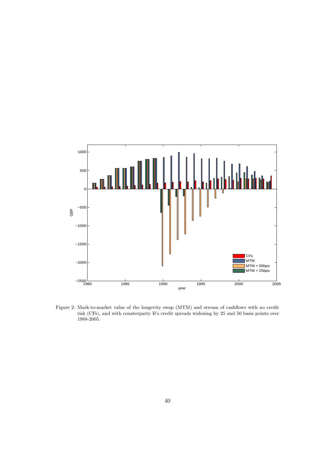

Figure 2: Mark-to-market value of the longevity swap (MTM) and stream of cashflows with no credit risk (CFs), and with counterparty B's credit spreads widening by 25 and 50 basis points over 1988-2005.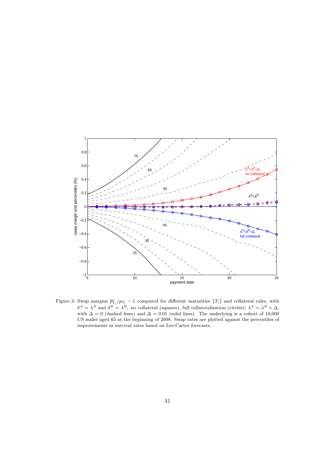

Figure 3: Swap margins  $\bar{p}_{T_i}^c / p_{T_i} - 1$  computed for different maturities  $\{T_i\}$  and collateral rules, with  $\delta^A = \lambda^A$  and  $\delta^B = \lambda^B$ : no collateral (squares), full collateralization (circles);  $\lambda^A = \lambda^B + \Delta$ , with  $\Delta = 0$  (dashed lines) and  $\Delta = 0.01$  (solid lines). The underlying is a cohort of 10,000 US males aged 65 at the beginning of 2008. Swap rates are plotted against the percentiles of improvements in survival rates based on Lee-Carter forecasts.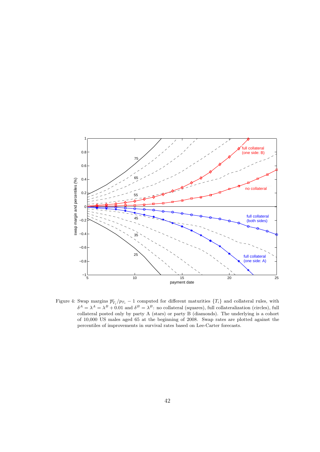

Figure 4: Swap margins  $\bar{p}_{T_i}^c / p_{T_i} - 1$  computed for different maturities  $\{T_i\}$  and collateral rules, with  $\delta^A = \lambda^A = \lambda^B + 0.01$  and  $\delta^B = \lambda^B$ : no collateral (squares), full collateralization (circles), full collateral posted only by party A (stars) or party B (diamonds). The underlying is a cohort of 10,000 US males aged 65 at the beginning of 2008. Swap rates are plotted against the percentiles of improvements in survival rates based on Lee-Carter forecasts.